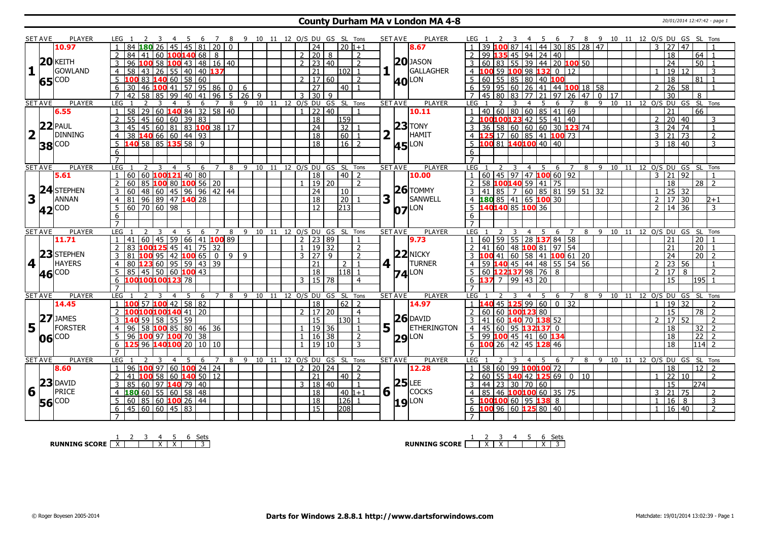#### **County Durham MA v London MA 4-8** 20/01/2014 12:47:42 - page 1

|                         | <b>SET AVE</b> | PLAYER         |                | LEG 1                              |                                            |                | - 5 | - 6                                     | 78             |                                  |                  |              |  |                |                          | 9 10 11 12 O/S DU GS SL Tons |                 |                |             | <b>SET AVE</b>                 | PLAYER              | LEG 1                |                             |              |                |                                                   |                       |   |                |    |    |                   |                 |                           | 4 5 6 7 8 9 10 11 12 O/S DU GS SL Tons |  |
|-------------------------|----------------|----------------|----------------|------------------------------------|--------------------------------------------|----------------|-----|-----------------------------------------|----------------|----------------------------------|------------------|--------------|--|----------------|--------------------------|------------------------------|-----------------|----------------|-------------|--------------------------------|---------------------|----------------------|-----------------------------|--------------|----------------|---------------------------------------------------|-----------------------|---|----------------|----|----|-------------------|-----------------|---------------------------|----------------------------------------|--|
|                         |                | 10.97          |                | 84                                 | 26                                         |                |     | 45 45 81 20                             |                | $\Omega$                         |                  |              |  |                | 24                       |                              | $20 1+1$        |                |             |                                | 8.67                |                      |                             | 87           |                | 41 44 30 85 28 47                                 |                       |   |                |    |    | $\mathcal{E}$     | 27              | 47                        |                                        |  |
|                         |                |                |                | 84<br>41 I                         |                                            |                |     | 60   100 <sup> </sup> 140   68   8      |                |                                  |                  |              |  |                | 2 20                     | 8                            |                 | $\mathcal{P}$  |             |                                |                     | 2                    |                             |              |                | 99 135 45 94 24 40                                |                       |   |                |    |    |                   | $\overline{18}$ |                           | 64<br>$\overline{1}$                   |  |
|                         |                | $20$ KEITH     | 3              | 96<br>100                          |                                            |                |     | 16 100 43 48 16 40                      |                |                                  |                  |              |  |                | $2 \mid 23 \mid 40$      |                              |                 | $\overline{2}$ |             |                                | $20$ JASON          | $3 \, 160$           |                             |              |                | 83 55 39 44 20 100 50                             |                       |   |                |    |    |                   | $\overline{24}$ |                           | 50 <sup>1</sup><br>$\overline{1}$      |  |
| 1                       |                | GOWLAND        | $\overline{4}$ | 58<br>  43                         |                                            |                |     | $26$ 55 40 40 137                       |                |                                  |                  |              |  |                | $\overline{21}$          |                              | $ 102 $ 1       |                |             | $\mathbf{1}$                   | GALLAGHER           |                      |                             |              |                | 4 100 59 100 98 132 0 12                          |                       |   |                |    |    |                   | $\overline{19}$ | 12 <sub>1</sub>           | $\mathbf{3}$                           |  |
|                         |                |                | 5              |                                    | $83$ 140 60 58 60                          |                |     |                                         |                |                                  |                  |              |  |                | $2 \mid 17 \mid 60$      |                              |                 | $\mathcal{L}$  |             |                                |                     |                      |                             |              |                | 5   60   55   85   80   40   100                  |                       |   |                |    |    |                   | $\overline{18}$ |                           | 81<br>$\overline{1}$                   |  |
|                         |                | 65 COD         | 6              | 30                                 | 46 100 41 57 95 86                         |                |     |                                         |                | $\overline{0}$                   | 6                |              |  |                | $\overline{27}$          |                              | 40   1          |                |             |                                | <b>40</b> LON       |                      |                             |              |                | $6$   59   95   60   26   41   44   100   18   58 |                       |   |                |    |    | $\mathcal{P}$     | $\overline{26}$ | 58                        | $\overline{1}$                         |  |
|                         |                |                | $\overline{7}$ | $\overline{58}$<br>42              | 85                                         |                |     | 99 40 41 96                             |                |                                  | $5 \mid 26 \mid$ | $\mathsf{q}$ |  | $\mathbf{3}$   | 130 I                    | q                            |                 |                |             |                                |                     |                      | 7 45 80                     | 83           |                | $77$ 21 97 26 47                                  |                       |   | $\overline{0}$ | 17 |    |                   | $\overline{30}$ |                           | 8                                      |  |
|                         | <b>SET AVE</b> | <b>PLAYER</b>  | LEG            | 2                                  | 3                                          | $\overline{4}$ | -5  | 6                                       | $\overline{7}$ | 8                                |                  |              |  |                |                          | 9 10 11 12 O/S DU GS SL Tons |                 |                |             | <b>SET AVE</b>                 | <b>PLAYER</b>       | LEG <sub>1</sub>     |                             | -3           | $\overline{4}$ | - 5                                               | 6<br>$\overline{7}$   | 8 | 9              |    |    |                   |                 |                           | 10 11 12 0/S DU GS SL Tons             |  |
|                         |                | 6.55           |                | $\overline{58}$<br>$\overline{29}$ |                                            |                |     | 60 <b>140</b> 84 32 58 40               |                |                                  |                  |              |  |                | 22 40                    |                              |                 |                |             |                                | 10.11               |                      |                             |              |                | 40 60 80 60 85 41 69                              |                       |   |                |    |    |                   | $\overline{21}$ |                           | $\overline{66}$                        |  |
|                         |                |                | $\overline{2}$ | 55<br>45                           |                                            |                |     | 60   60   39   83                       |                |                                  |                  |              |  |                | 18                       |                              | 159             |                |             |                                |                     |                      |                             |              |                | 2 100100123 42 55 41 40                           |                       |   |                |    |    | 2                 | $\boxed{20}$ 40 |                           | 3                                      |  |
|                         |                | $22$ PAUL      |                |                                    |                                            |                |     |                                         |                |                                  |                  |              |  |                |                          |                              |                 |                |             |                                | $23$ TONY           |                      |                             |              |                |                                                   |                       |   |                |    |    |                   |                 |                           | $\overline{1}$                         |  |
|                         |                |                |                | 45<br>45                           |                                            |                |     | 60   81   83   <mark>100</mark> 38   17 |                |                                  |                  |              |  |                | 24                       |                              | 32              |                |             |                                |                     |                      |                             |              |                | 36 58 60 60 60 30 123 74                          |                       |   |                |    |    | 3                 | 24              | 74                        |                                        |  |
| $\overline{\mathbf{2}}$ |                | <b>DINNING</b> | 4              | 38 140 66 60 44 93                 |                                            |                |     |                                         |                |                                  |                  |              |  |                | $\overline{18}$          |                              | 60              |                |             |                                | HAMIT               |                      |                             |              |                | 4 125 17 60 85 41 100 73                          |                       |   |                |    |    | $\overline{3}$    | $21 \mid 73$    |                           | $\overline{2}$                         |  |
|                         |                | <b>38</b> COD  | 5              | $140$ 58 85 135 58 9               |                                            |                |     |                                         |                |                                  |                  |              |  |                | $\overline{18}$          |                              | $16 \mid 2$     |                |             |                                | <b>45</b> LON       |                      |                             |              |                | $5\,$ 100 81 140 100 40 40                        |                       |   |                |    |    |                   | 3   18   40     |                           | 3                                      |  |
|                         |                |                | 6              |                                    |                                            |                |     |                                         |                |                                  |                  |              |  |                |                          |                              |                 |                |             |                                |                     | 6                    |                             |              |                |                                                   |                       |   |                |    |    |                   |                 |                           |                                        |  |
|                         |                |                | $\overline{7}$ |                                    |                                            |                |     |                                         |                |                                  |                  |              |  |                |                          |                              |                 |                |             |                                |                     | $\overline{7}$       |                             |              |                |                                                   |                       |   |                |    |    |                   |                 |                           |                                        |  |
|                         | <b>SET AVE</b> | <b>PLAYER</b>  | LEG            |                                    |                                            | $\overline{4}$ | 5   | - 6                                     | 7              | 8                                | 9                |              |  |                |                          | 10 11 12 O/S DU GS SL Tons   |                 |                |             | <b>SET AVE</b>                 | <b>PLAYER</b>       | LEG <sub>1</sub>     |                             |              |                | 4 5 6 7                                           |                       |   | 8 9 10         |    | 11 |                   |                 |                           | 12 O/S DU GS SL Tons                   |  |
|                         |                | 5.61           |                | $60$ 60 100 121 40 80              |                                            |                |     |                                         |                |                                  |                  |              |  |                | 18                       |                              | 40   2          |                |             |                                | 10.00               |                      |                             |              |                | 60   45   97   47   100 60   92                   |                       |   |                |    |    |                   | 3 21            | 92                        | $\overline{1}$                         |  |
|                         |                |                | 2              | 60                                 | 85 100 80 100 56 20                        |                |     |                                         |                |                                  |                  |              |  |                | 19 20                    |                              |                 | $\overline{2}$ |             |                                |                     | 2                    |                             |              |                | 58 100 140 59 41 75                               |                       |   |                |    |    |                   | 18              |                           | $28$   2                               |  |
|                         |                | 24 STEPHEN     | 3              | 60                                 | 48 60 45 96 96 42 44                       |                |     |                                         |                |                                  |                  |              |  |                | $ 24\rangle$             |                              | 10              |                |             |                                | $26$ TOMMY          |                      |                             |              |                | $3   41   85   7   60   85   81   59   51   32$   |                       |   |                |    |    | $\overline{1}$    | $\sqrt{25}$ 32  |                           |                                        |  |
| 3                       |                | ANNAN          | $\overline{4}$ | 81                                 | $96$ 89 47 140 28                          |                |     |                                         |                |                                  |                  |              |  |                | $\overline{18}$          |                              | $\overline{20}$ |                | 3           | $\mathbf{I}$                   | SANWELL             |                      |                             |              |                | 4 180 85 41 65 100 30                             |                       |   |                |    |    | $\overline{2}$    | 17 30           |                           | $2 + 1$                                |  |
|                         |                | 42 COD         |                | 60 70 60 98                        |                                            |                |     |                                         |                |                                  |                  |              |  |                | 12                       |                              | 213             |                |             |                                | $O7$ <sup>LON</sup> |                      | $5\ \ 14014085\ \ 10036$    |              |                |                                                   |                       |   |                |    |    | 2 <sup>1</sup>    | 14 36           |                           | $\mathbf{3}$                           |  |
|                         |                |                | 6              |                                    |                                            |                |     |                                         |                |                                  |                  |              |  |                |                          |                              |                 |                |             |                                |                     | 6                    |                             |              |                |                                                   |                       |   |                |    |    |                   |                 |                           |                                        |  |
|                         |                |                | $\overline{7}$ |                                    |                                            |                |     |                                         |                |                                  |                  |              |  |                |                          |                              |                 |                |             |                                |                     |                      |                             |              |                |                                                   |                       |   |                |    |    |                   |                 |                           |                                        |  |
| <b>SET AVE</b>          |                |                |                |                                    |                                            |                | -5  | 6                                       | $7^{\circ}$    |                                  |                  |              |  |                |                          |                              |                 |                |             | <b>SET AVE</b>                 | <b>PLAYER</b>       | LEG                  |                             |              | $\overline{4}$ | 5                                                 | 6<br>$\overline{7}$   |   |                |    |    |                   |                 | 8 9 10 11 12 0/S DU GS SL | Tons                                   |  |
|                         |                | <b>PLAYER</b>  | <b>LEG</b>     |                                    |                                            |                |     |                                         |                | 8                                |                  |              |  |                |                          | 9 10 11 12 O/S DU GS SL Tons |                 |                |             |                                |                     |                      |                             |              |                |                                                   |                       |   |                |    |    |                   |                 |                           |                                        |  |
|                         |                | 11.71          |                | 41<br>60                           | 45                                         |                |     | 59   66   41   100   89                 |                |                                  |                  |              |  | $\overline{2}$ | 23 89                    |                              |                 |                |             |                                | 9.73                |                      |                             |              |                | 60 59 55 28 137 84 58                             |                       |   |                |    |    |                   | 21              |                           | 20 <sup>7</sup>                        |  |
|                         |                |                | $\overline{2}$ | 83                                 | 100 <mark>125</mark> 45   41   75   32     |                |     |                                         |                |                                  |                  |              |  |                | 19 32                    |                              |                 | $\overline{2}$ |             |                                |                     | $\overline{2}$<br>41 | 60                          |              |                | 48 100 81 97 54                                   |                       |   |                |    |    |                   | 21              |                           | 20<br>$\overline{1}$                   |  |
|                         |                | 23 STEPHEN     | 3              | 81                                 | <mark>LOO</mark> 95   42 <b>100</b> 65   0 |                |     |                                         |                | $9 \mid 9$                       |                  |              |  |                | 3 27 9                   |                              |                 | $\overline{2}$ |             |                                | $22$ NICKY          |                      | 100 41                      |              |                | 60 58 41 100 61 20                                |                       |   |                |    |    |                   | 24              |                           | $\overline{20}$   $\overline{2}$       |  |
| $4$                     |                | <b>HAYERS</b>  | $\overline{4}$ | 80                                 | 12360955943339                             |                |     |                                         |                |                                  |                  |              |  |                | 21                       |                              | 2 <sup>1</sup>  | $\overline{1}$ |             | $4$   $\overline{\phantom{0}}$ | <b>TURNER</b>       |                      |                             |              |                |                                                   |                       |   |                |    |    |                   | 2 23            | 56                        | $\overline{1}$                         |  |
|                         |                |                | 5              | 85 45 50 60 100 43                 |                                            |                |     |                                         |                |                                  |                  |              |  |                | <b>18</b>                |                              | 118 1           |                |             |                                |                     |                      |                             |              |                | 4 59 140 45 44 48 55 54 56<br>5 60 122137 98 76 8 |                       |   |                |    |    | $\overline{2}$    | 17              | 8                         | $\overline{2}$                         |  |
|                         |                | 46 COD         |                | 6 100100100123 78                  |                                            |                |     |                                         |                |                                  |                  |              |  |                | $3 \mid 15 \mid 78$      |                              |                 | $\overline{4}$ |             |                                | $74$ <sup>LON</sup> |                      | $6$ 137 7 99 43 20          |              |                |                                                   |                       |   |                |    |    |                   | 15              |                           | $195$   1                              |  |
|                         |                |                | $\overline{7}$ |                                    |                                            |                |     |                                         |                |                                  |                  |              |  |                |                          |                              |                 |                |             |                                |                     | $\overline{7}$       |                             |              |                |                                                   |                       |   |                |    |    |                   |                 |                           |                                        |  |
|                         | <b>SET AVE</b> | <b>PLAYER</b>  | LEG            |                                    | 3                                          | $\overline{4}$ | -5  | - 6                                     |                | 7 8 9 10 11 12 O/S DU GS SL Tons |                  |              |  |                |                          |                              |                 |                |             | <b>SET AVE</b>                 | <b>PLAYER</b>       | LEG <sub>1</sub>     |                             |              | 4              | - 5                                               | - 6<br>$\overline{7}$ |   |                |    |    |                   |                 |                           | 8 9 10 11 12 O/S DU GS SL Tons         |  |
|                         |                | 14.45          |                |                                    | $57$ 100 42 58 82                          |                |     |                                         |                |                                  |                  |              |  |                | $\overline{18}$          |                              | 62 2            |                |             |                                | 14.97               |                      | 1 140 45 125 99             |              |                | $60$ 0 32                                         |                       |   |                |    |    | $\overline{1}$    | 19              | $\overline{32}$           | $\overline{2}$                         |  |
|                         |                |                | $\overline{2}$ | 100100100140 41 20                 |                                            |                |     |                                         |                |                                  |                  |              |  |                | $2 \mid 17 \mid 20$      |                              |                 | $\overline{4}$ |             |                                |                     |                      | 2 60 60 <b>100123</b> 80    |              |                |                                                   |                       |   |                |    |    |                   | 15              |                           | 78 2                                   |  |
|                         |                | $27$ JAMES     |                | 59                                 | 58 55 59                                   |                |     |                                         |                |                                  |                  |              |  |                | $\overline{15}$          |                              | l130l 1         |                |             |                                | $26$ DAVID          | $3 \mid 41$          |                             |              |                | 60 140 70 138 52                                  |                       |   |                |    |    | $\mathcal{P}$     | 17              | 52                        | $\overline{2}$                         |  |
|                         | l T            | <b>FORSTER</b> | 4              | 96                                 |                                            |                |     |                                         |                |                                  |                  |              |  |                |                          |                              |                 | $\mathbf{1}$   |             |                                | <b>ETHERINGTON</b>  | 4                    | 45   60   95 <b> 132137</b> |              |                |                                                   | $\mathbf{0}$          |   |                |    |    |                   | 18              |                           | $\overline{2}$                         |  |
| 5                       |                |                | 5 <sup>1</sup> | 96   100   97   100   70   38      | $58$ <b>100</b> 85 80 46 36                |                |     |                                         |                |                                  |                  |              |  | $\mathbf{1}$   | 19 36                    |                              |                 | $\overline{2}$ | 5           |                                |                     |                      |                             |              |                |                                                   |                       |   |                |    |    |                   | $\overline{18}$ |                           | 32<br>$\overline{2}$                   |  |
|                         |                | 06 COD         | 6              |                                    | 96 140100 20 10 10                         |                |     |                                         |                |                                  |                  |              |  | $\mathbf{1}$   | 16 38<br>19 10           |                              |                 | 3              |             |                                | $29$ <sup>LON</sup> | 6                    |                             |              |                | $5$   99 100 45   41   60 134                     |                       |   |                |    |    |                   | 18              |                           | $\overline{22}$<br>114l 2              |  |
|                         |                |                | $\overline{7}$ |                                    |                                            |                |     |                                         |                |                                  |                  |              |  |                |                          |                              |                 |                |             |                                |                     | $\overline{7}$       | 100 26                      | $ 42\rangle$ |                | 45 128 46                                         |                       |   |                |    |    |                   |                 |                           |                                        |  |
|                         | <b>SET AVE</b> | PLAYER         | LEG            |                                    |                                            | $\overline{4}$ | -5  | -6                                      | 7              | 8                                |                  |              |  |                |                          | 9 10 11 12 O/S DU GS SL Tons |                 |                |             | <b>SET AVE</b>                 | <b>PLAYER</b>       | LEG <sub>1</sub>     |                             | 3            |                | 4 5 6                                             | $\overline{7}$        | 8 |                |    |    |                   |                 |                           | 9 10 11 12 O/S DU GS SL Tons           |  |
|                         |                | 8.60           | $\overline{1}$ | 96 $100$ 97 60 100 24 24           |                                            |                |     |                                         |                |                                  |                  |              |  |                | $2 \mid 20 \mid 24 \mid$ |                              |                 | $\mathcal{L}$  |             |                                | 12.28               |                      |                             |              |                | 58 60 99 100 100 72                               |                       |   |                |    |    |                   | $\overline{18}$ |                           | 12 <sub>1</sub><br>$\overline{2}$      |  |
|                         |                |                | 2              | 41<br>100                          |                                            |                |     | 58 60 <b>140</b> 50 12                  |                |                                  |                  |              |  |                | $\overline{21}$          |                              | $40$   2        |                |             |                                |                     | 60<br>2              |                             |              |                |                                                   |                       |   |                |    |    |                   | $\overline{22}$ | 10                        | $\overline{2}$                         |  |
|                         |                |                | 3              | 85                                 |                                            |                |     |                                         |                |                                  |                  |              |  |                |                          |                              |                 | $\overline{1}$ |             | $25$ LEE                       |                     |                      |                             |              |                |                                                   |                       |   |                |    |    |                   | 15              |                           | 274                                    |  |
|                         |                | $23$ DAVID     | $\overline{4}$ |                                    | 60 97 140 79 40                            |                |     |                                         |                |                                  |                  |              |  |                | 3   18   40              |                              |                 |                |             |                                | <b>COCKS</b>        | $\overline{4}$       | 3   44   23   30   70   60  |              |                |                                                   |                       |   |                |    |    |                   |                 |                           | 2                                      |  |
| 6                       |                | PRICE          |                | <b>180</b> 60   55   60   58   48  |                                            |                |     |                                         |                |                                  |                  |              |  |                | $\overline{18}$          |                              | $ 40 1+1$       | $\overline{1}$ | $6\sqrt{1}$ |                                |                     |                      |                             |              |                | 85 46 100 100 60 35 75                            |                       |   |                |    |    | 3<br>$\mathbf{1}$ | 21              | 75                        |                                        |  |
|                         |                | <b>56</b> COD  |                | 60   85   60   100   26   44       |                                            |                |     |                                         |                |                                  |                  |              |  |                | 18                       |                              | 126             |                |             |                                | $ 19 ^{LON}$        |                      |                             |              |                | 5 100100 60 95 138 8                              |                       |   |                |    |    | $\mathbf{1}$      | 16              | $\overline{8}$            | $\overline{3}$                         |  |
|                         |                |                | 6              | $45 \ 60 \ 60 \ 45 \ 83$           |                                            |                |     |                                         |                |                                  |                  |              |  |                | $\overline{15}$          |                              | 208             |                |             |                                |                     |                      |                             |              |                | 6 $100$ 96 60 125 80 40                           |                       |   |                |    |    |                   | $16 \mid 40$    |                           | $\overline{2}$                         |  |

**RUNNING SCORE**  $\begin{array}{|c|c|c|c|c|}\n\hline\n\textbf{1} & \textbf{2} & \textbf{3} & \textbf{4} & \textbf{5} & \textbf{6} & \textbf{Sets} \\
\hline\n\textbf{5} & \textbf{5} & \textbf{7} & \textbf{8} & \textbf{1} & \textbf{1} & \textbf{1} & \textbf{1} & \textbf{1} \\
\hline\n\textbf{6} & \textbf{8} & \textbf{1} & \textbf{1} & \textbf{1} & \textbf{1} & \textbf{1} & \textbf{1} & \textbf{1} &$ 

**RUNNING SCORE** | <u>X | X | X | 3</u><br>**2** 3 4 5 6 5ets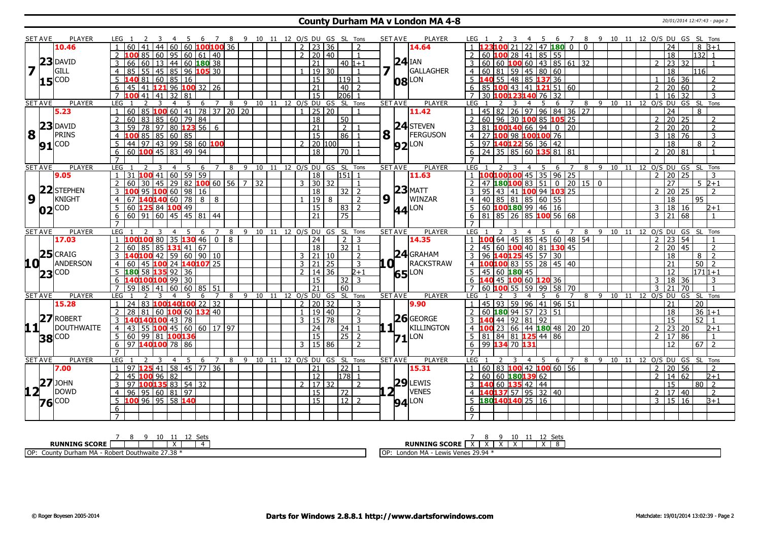#### **County Durham MA v London MA 4-8** 20/01/2014 12:47:43 - page 2

|                         | <b>SET AVE</b>    | <b>PLAYER</b>     | LEG 1                                                                           | - 6                              |        |          |                     |       | 7 8 9 10 11 12 O/S DU GS SL Tons  |                | <b>SET AVE</b><br><b>PLAYER</b>         | 7 8 9 10 11 12 O/S DU GS SL Tons<br>- 5<br>6<br>LEG 1<br>-4                                                    |
|-------------------------|-------------------|-------------------|---------------------------------------------------------------------------------|----------------------------------|--------|----------|---------------------|-------|-----------------------------------|----------------|-----------------------------------------|----------------------------------------------------------------------------------------------------------------|
|                         |                   | 10.46             | 44<br>$\overline{60}$<br>60<br>41                                               | 60 <b>100100</b> 36              |        |          | $2 \mid 23 \mid 36$ |       | $\overline{2}$                    |                | 14.64                                   | $22 \times 471800 \times 000$<br>2310021<br>24<br>$8B+1$                                                       |
|                         |                   |                   | 85   60   95   60   61   40<br>$\overline{2}$                                   |                                  |        |          | $2 \mid 20 \mid 40$ |       | $\mathbf{1}$                      |                |                                         | $132$ 1<br>2 60 100 28 41 85 55<br>$\overline{18}$                                                             |
|                         |                   | $23$ DAVID        | 60   13   44   60 <b>180</b> 38<br>66                                           |                                  |        |          | 21                  |       | l 40 l1+1                         |                | $24$ IAN                                | $3   60   60   100   60   43   85   61   32$<br>23 32<br>$\overline{z}$                                        |
| $\overline{\mathbf{z}}$ |                   | GILL              | 55   45   85   96   <mark>105</mark> 30<br>$\overline{4}$                       |                                  |        |          |                     | 19 30 | $\overline{1}$                    |                | GALLAGHER                               | 18<br>  60   81   59   45   80   60<br>116I                                                                    |
|                         |                   | $15^{ COD }$      | <b>40</b> 81 60 85 16                                                           |                                  |        |          | $\overline{15}$     |       | l119l                             |                | <b>08</b> LON                           | 40 55 48 85 137 36<br>$16 \mid 36$<br>2                                                                        |
|                         |                   |                   | 41   121   96   100   32   26<br>6<br>45                                        |                                  |        |          | $\overline{21}$     |       | 40 <sup>1</sup>                   |                |                                         | 20 60<br>$\overline{2}$<br>6 85 100 43 41 121 51 60<br>$\overline{2}$                                          |
|                         |                   |                   | $\overline{7}$<br>41<br>41<br>32<br>81                                          |                                  |        |          | $\overline{15}$     |       | 206                               |                |                                         | 30 100123140<br>16<br>$\overline{32}$<br>3<br>76 32                                                            |
|                         | <b>SET AVE</b>    | <b>PLAYER</b>     | LEG<br>5 <sup>5</sup><br>$\overline{2}$<br>3<br>$\overline{4}$                  | 6<br>7                           |        |          |                     |       | 8 9 10 11 12 O/S DU GS SL Tons    |                | <b>SET AVE</b><br>PLAYER                | 8 9 10 11 12 0/S DU GS SL Tons<br><b>LEG</b><br>5<br>6<br>4<br>7<br>3                                          |
|                         |                   | 5.23              | $100$ 60   41   78   37   20   20<br>60<br>85                                   |                                  |        |          |                     | 25 20 |                                   |                | 11.42                                   | 45   82   26   97   96   84   36   27<br>24<br>8<br>$\overline{1}$                                             |
|                         |                   |                   | 83 85 60 79 84<br>$\overline{2}$<br>60                                          |                                  |        |          | $\overline{18}$     |       | $\overline{50}$                   |                |                                         | $\overline{2}$<br>  60   96   30 <mark>100</mark> 85 <b>105</b> 25<br>20 25<br>$\overline{2}$<br>$\mathcal{P}$ |
|                         |                   | $23$ DAVID        | $97$ 80 <b>123</b> 56 6<br>$\overline{3}$<br>$\overline{59}$<br>$\overline{78}$ |                                  |        |          | $\overline{21}$     |       | $\overline{2}$                    |                | $24$ STEVEN                             | $81$ 100140 66 94 0 20<br>$\overline{20}$<br>$\overline{20}$<br>3<br>2<br>2                                    |
| 8                       | $\mathbf{1}$      | PRINS             | 85 85 60 85<br>$\overline{4}$<br>100                                            |                                  |        |          | 15                  |       | 86<br>$\overline{1}$              | 8 <sup>1</sup> | FERGUSON                                | 4 27 100 98 100 100 76<br>18 76<br>$\overline{3}$<br>3                                                         |
|                         |                   |                   | $\overline{5}$<br> 97 43 99 58 60 100<br>44                                     |                                  |        |          | $2$   20   100      |       | $\overline{1}$                    |                | $92$ LON                                | 5 97 140 122 56 36 42<br>$\overline{18}$<br>$\overline{2}$<br>8                                                |
|                         |                   | $91^{\text{COD}}$ | 60 $100$ 45 83 49 94<br>6                                                       |                                  |        |          | 18                  |       | l 70 l                            |                |                                         | $6$   24   35   85   60 <b>135</b> 81   81<br>20 81<br>$\overline{2}$                                          |
|                         |                   |                   | $\overline{7}$                                                                  |                                  |        |          |                     |       |                                   |                |                                         |                                                                                                                |
|                         | <b>SET AVE</b>    | <b>PLAYER</b>     | LEG <sub>1</sub><br>$\overline{3}$<br>$\overline{4}$<br>5                       | $\overline{z}$<br>$\overline{6}$ |        |          |                     |       | 8 9 10 11 12 0/S DU GS SL Tons    |                | <b>SET AVE</b><br><b>PLAYER</b>         | LEG 1<br>8 9 10 11 12 0/S DU GS SL Tons<br>$\overline{7}$<br>$\overline{4}$<br>- 5<br>-6                       |
|                         |                   | 9.05              | $100$ 41 60 59 59<br>31                                                         |                                  |        |          | 18                  |       | 151                               |                | 11.63                                   | $45$ 35 96 25<br>20 25<br>1 100100100<br>$\overline{2}$<br>3                                                   |
|                         |                   |                   | 60<br>45<br>30                                                                  | $29$ 82 100 60 56 7 32           |        |          | $\overline{3}$      | 30 32 |                                   |                |                                         | $0$ 20 15 0<br>$83$ 51<br>27<br>$5 \, 2 + 1$<br>47<br>180100                                                   |
|                         |                   | 22 STEPHEN        | $95 \, 100 \, 60 \, 98 \, 16$<br>3                                              |                                  |        |          | 18                  |       | 32   2                            |                | $23$ MATT                               | 3 95 43 41 100 94 103 25<br>20 25<br>$\overline{2}$<br>$\overline{2}$                                          |
| $\overline{9}$          | l t               | KNIGHT            | 1401406078888<br>$\overline{4}$<br>67                                           |                                  |        |          |                     | 19 8  | $\overline{2}$                    | $9\sqrt{1}$    | WINZAR                                  | 4 40 85 81 85 60 55<br>95<br>18                                                                                |
|                         |                   |                   | 5 <sup>1</sup><br>60 125 84 100 49                                              |                                  |        |          | 15                  |       | 83   2                            |                | 44 LON                                  | 5 60 <b>100 180</b> 99 46 16<br>18 16<br>$\overline{3}$<br>$2 + 1$                                             |
|                         | $02$ COD          |                   | $60$ 91 60 45 45 81 44<br>6                                                     |                                  |        |          | 21                  |       | 75                                |                |                                         | $6 \mid 81 \mid 85 \mid 26 \mid 85$ 100 56 68<br>$\overline{21}$<br>68<br>$\mathbf{R}$                         |
|                         |                   |                   | $\overline{7}$                                                                  |                                  |        |          |                     |       |                                   |                |                                         | $\overline{7}$                                                                                                 |
|                         | <b>SET AVE</b>    | <b>PLAYER</b>     | LEG<br>.5<br>4                                                                  | $\overline{7}$<br>- 6            | 8      |          |                     |       | 9 10 11 12 0/S DU GS SL Tons      |                | <b>SET AVE</b><br><b>PLAYER</b>         | LEG 1<br>8 9 10 11 12 O/S DU GS SL Tons<br>$\overline{7}$<br>- 5<br>- 6                                        |
|                         |                   | 17.03             | 1 <b>100 100</b> 80 35 <b>130</b> 46 0 8                                        |                                  |        |          | 24                  |       | $2 \mid 3$                        |                | 14.35                                   | $1$ 100 64 45 85 45 60 48 54<br>$2 \mid 23 \mid 54$                                                            |
|                         |                   |                   | $\overline{2}$<br>85<br>$131$ 41 67<br>60<br>85                                 |                                  |        |          | <sup>18</sup>       |       | 32 1                              |                |                                         | 45 60 100 40 81 130 45<br>45<br>$\overline{2}$<br>20<br>$\overline{2}$                                         |
|                         |                   | $25$ CRAIG        | 140100 42 I                                                                     | 59   60   90   10                |        |          | $3 \mid 21 \mid 10$ |       | $\overline{2}$                    |                | $24$ GRAHAM                             | 3   96 <b>140 125</b> 45   57   30<br>18<br>$\overline{z}$<br>8                                                |
| 10 L                    |                   | ANDERSON          | 100 24 140 107 25<br>$\overline{4}$<br>60<br>45                                 |                                  |        |          | $3 \mid 21 \mid 25$ |       | 3                                 | LO I           | RACKSTRAW                               | 50<br>00 100 83 55 28 45 40<br>21<br>$\overline{z}$                                                            |
|                         |                   |                   | 5 <b>180 58 135 92 36</b>                                                       |                                  |        |          | $2 \mid 14 \mid 36$ |       | $2 + 1$                           |                |                                         | $5 \mid 45 \mid 60 \mid 180 \mid 45$<br>12<br>$\frac{171}{1+1}$                                                |
|                         | $23^{\text{COD}}$ |                   | 6 140100100 99 30                                                               |                                  |        |          | $\overline{15}$     |       | $32$   3                          |                | 65 LON                                  | 6 140 45 100 60 120 36<br>18 36<br>$\overline{3}$<br>3                                                         |
|                         |                   |                   | 59<br>85<br>41<br>60                                                            | 60 85 51                         |        |          | 21                  |       | $\overline{60}$                   |                |                                         | $59$ 99 58 70<br><b>7</b> 60 100<br>55<br>3<br>21<br>70<br>$\mathbf{1}$                                        |
|                         | <b>SET AVE</b>    | <b>PLAYER</b>     | I FG<br>3<br>$\overline{4}$<br>5                                                | $\overline{7}$<br>6              | 8<br>9 | 10<br>11 |                     |       | 12 O/S DU GS SL Tons              |                | <b>SET AVE</b><br><b>PLAYER</b>         | LEG.<br>11 12 O/S DU GS SL Tons<br>4<br>$\overline{7}$<br>8<br>$\mathsf{q}$<br>10<br>5<br>6                    |
|                         |                   | 15.28             | 24 83 100140100 22 32                                                           |                                  |        |          | $2$   20   32       |       | 3                                 |                | 9.90                                    | 45   93   59   96   41   96   51<br>$\overline{1}$<br>21<br>20                                                 |
|                         |                   |                   | $2^{\circ}$<br>28<br>81 60 <b>100</b> 60 <b>132</b> 40                          |                                  |        |          | $1 \mid 19 \mid 40$ |       | $\overline{2}$                    |                |                                         | $\overline{18}$<br>$36 1+1$<br>2                                                                               |
|                         |                   | 27 ROBERT         | 140140100 43 78<br>$\overline{3}$                                               |                                  |        |          | $3 \mid 15 \mid 78$ |       | $\overline{3}$                    |                | $26$ GEORGE                             | 3 140 44 92 81 92<br>$\overline{15}$<br>$\overline{52}$<br>$\mathbf{1}$                                        |
| 11                      |                   | DOUTHWAITE        | 43 55 100 45 60 60 17 97<br>$\overline{4}$                                      |                                  |        |          | $\overline{24}$     |       | 24   1                            |                | KILLINGTON<br>. 11 L                    | 4 100 23 66 44 180 48 20 20<br>23 20<br>$\overline{2}$<br>$2 + 1$                                              |
|                         |                   |                   | $5 60 99 81 $ 100136                                                            |                                  |        |          | $\overline{15}$     |       | $\overline{25}$<br>$\overline{2}$ |                |                                         | $5 \ 81 \ 84 \ 81 \ 125 \ 44 \ 86$<br>17 86<br>2<br>$\mathbf{1}$                                               |
|                         |                   | <b>38</b> COD     | 971401007886<br>6                                                               |                                  |        |          | 3   15   86         |       | $\overline{2}$                    |                | $71$ <sup><math>\text{LON}</math></sup> | 6 99 134 70 131<br>$\overline{12}$<br>67<br>$\overline{z}$                                                     |
|                         |                   |                   |                                                                                 |                                  |        |          |                     |       |                                   |                |                                         |                                                                                                                |
|                         | <b>SET AVE</b>    | <b>PLAYER</b>     | LEG<br>-5<br>4                                                                  | $\overline{7}$<br>6              |        |          |                     |       | 8 9 10 11 12 0/S DU GS SL Tons    |                | <b>SET AVE</b><br><b>PLAYER</b>         | 8 9 10 11 12 0/S DU GS SL Tons<br>LEG <sub>1</sub><br>5<br>$\overline{7}$<br>$\overline{4}$<br>6               |
|                         |                   | 7.00              | 97<br> 41                                                                       | 58   45   77   36                |        |          | 21                  |       | 22                                |                | 15.31                                   | 60   83   100   42   100   60   56<br>20 56<br>$\overline{2}$<br>2                                             |
|                         |                   |                   |                                                                                 |                                  |        |          |                     |       | 178 <br>$\overline{1}$            |                |                                         | 14 62<br>2   60   60   180139   62<br>$\overline{2}$<br>$2 + 1$                                                |
|                         |                   |                   |                                                                                 |                                  |        |          |                     |       |                                   |                |                                         |                                                                                                                |
|                         |                   |                   | $2^{\circ}$<br>$100$ 96 82<br>45                                                |                                  |        |          | $\overline{12}$     |       |                                   |                |                                         |                                                                                                                |
|                         |                   | $27$ JOHN         | 1001358835432<br>$\overline{3}$<br>97                                           |                                  |        |          | 2 17 32             |       | $\overline{2}$                    |                | 29 <br>LEWIS                            | $\overline{15}$<br>3 <b>140 60 135 42 44</b><br>80<br>$\overline{2}$                                           |
| 12 <sub>1</sub>         |                   | <b>DOWD</b>       | 95   60   81   97<br>96<br>$\overline{4}$                                       |                                  |        |          | <sup>15</sup>       |       | 72                                |                | 2⊥<br><b>VENES</b>                      | 4 140137 57 95 32 40<br>17 40<br>2<br>2                                                                        |
|                         | $76$ COD          |                   | 5 <sup>1</sup><br>100 96 95 58 140                                              |                                  |        |          | <sup>15</sup>       |       | 12   2                            |                | $94$ <sup>LON</sup>                     | 5 180140140 25 16<br>3   15   16<br>$B+1$                                                                      |
|                         |                   |                   | 6                                                                               |                                  |        |          |                     |       |                                   |                |                                         | 6<br>$\overline{7}$                                                                                            |

|                                                  |  |  | 11 12 Sets |  |
|--------------------------------------------------|--|--|------------|--|
| <b>RUNNING SCORE  </b>                           |  |  |            |  |
| OP: County Durham MA - Robert Douthwaite 27.38 * |  |  |            |  |

**RUNNING SCORE** 7 X 8 X 9 X 10 X 11 12 X Sets 8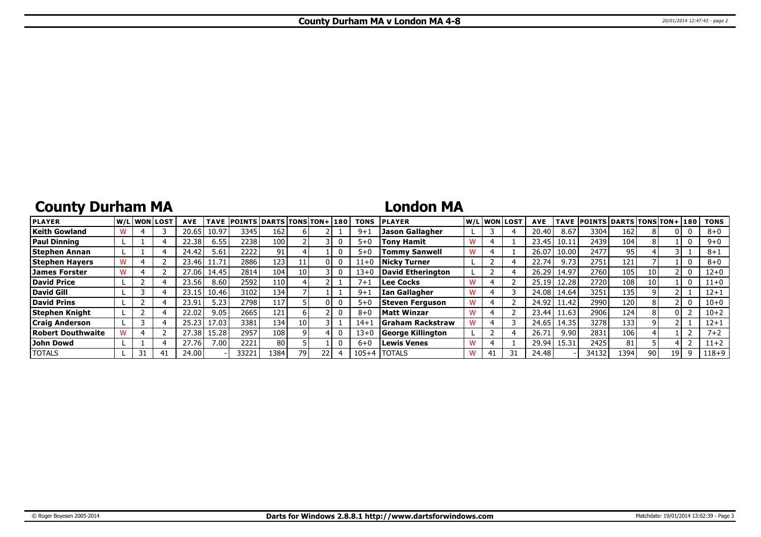## **County Durham MA**

### **London MA**

| <b>PLAYER</b>         |  | W/Liwonilost | <b>AVE</b> | <b>TAVE</b> | <b>POINTS DARTS TONS TON+180</b> |      |      |  | <b>TONS</b> | <b>PLAYER</b>            |    | W/L WON LOST | <b>AVE</b> | <b>TAVE</b> | <b>POINTS DARTS TONS TON+ 180</b> |      |    |     |   | <b>TONS</b> |
|-----------------------|--|--------------|------------|-------------|----------------------------------|------|------|--|-------------|--------------------------|----|--------------|------------|-------------|-----------------------------------|------|----|-----|---|-------------|
| <b>Keith Gowland</b>  |  |              | 20.65      | 10.97       | 3345                             | 162  |      |  | $9 + 1$     | <b>Jason Gallagher</b>   |    |              | 20.40      | 8.67        | 3304                              | 162  |    |     |   | $8 + 0$     |
| <b>Paul Dinning</b>   |  |              | 22.38      | 6.55        | 2238                             | 100  |      |  | $5 + 0$     | <b>Tony Hamit</b>        |    |              | 23.45      | 10.11       | 2439                              | 104  |    |     | 0 | $9 + 0$     |
| Stephen Annan         |  |              | 24.42      | 5.61        | 2222                             | 91   |      |  | $5 + 0$     | <b>Tommy Sanwell</b>     |    |              | 26.07      | 10.00       | 2477                              | 95   |    |     |   | $8 + 1$     |
| <b>Stephen Hayers</b> |  |              | 23.46      | 11.71       | 28861                            | 123  |      |  | $11+0$      | Nicky Turner             |    |              | 22.74      | 9.73        | 2751                              | 121  |    |     |   | $8 + 0$     |
| James Forster         |  |              | 7.06       | 14.45       | 2814                             | 104  | 10 I |  | $13 + 0$    | David Etherington        |    |              | 26.29      | 14.97       | 2760                              | 105  | 10 |     |   | $12 + 0$    |
| <b>David Price</b>    |  |              | 23.56      | 8.60        | 2592                             | 110  |      |  | $7 + 1$     | l Lee Cocks              |    |              | 25.19      | 12.28       | 2720                              | 108  | 10 |     | 0 | $11+0$      |
| David Gill            |  |              | 23.15      | 10.46       | 3102                             | 134  |      |  | $9 + 1$     | Ian Gallagher            |    |              | 24.08      | 14.64       | 3251                              | 135  |    |     |   | $12 + 1$    |
| <b>David Prins</b>    |  |              | 23.91      | 5.23        | 2798                             | 117  |      |  | $5 + C$     | Steven Ferguson          |    |              | 24.92      | 11.42       | 2990                              | 120  |    |     | 0 | $10 + 0$    |
| Stephen Knight        |  |              | 22.02      | 9.05        | 2665                             | 121  |      |  | $8 + 0$     | <b>Matt Winzar</b>       |    |              | 23.44      | 11.63       | 2906                              | 124  |    |     |   | $10 + 2$    |
| <b>Craig Anderson</b> |  |              | 25.23      | 17.03       | 3381                             | 134  | 10 I |  | $14 + 1$    | <b>SGraham Rackstraw</b> |    |              | 24.65      | 14.35       | 3278                              | 133  |    |     |   | $12 + 1$    |
| Robert Douthwaite     |  |              | 27.38      | 15.28       | 2957                             | 108  |      |  | $13 + 0$    | George Killington        |    |              | 26.7       | 9.90        | 2831                              | 106  |    |     |   | $7 + 2$     |
| John Dowd             |  |              | 27.76      | 7.00        | 2221                             | 80   |      |  | $6 + 0$     | Lewis Venes              |    |              | 29.94      | 15.31       | 2425                              | 81   |    |     |   | $11+2$      |
| <b>TOTALS</b>         |  | -41          | 24.00      |             | 33221                            | 1384 | 79 l |  | $105 + 4$   | <b>ITOTALS</b>           | 41 |              | 24.48      |             | 34132                             | 1394 | 90 | ا ۱ |   | $118 + 9$   |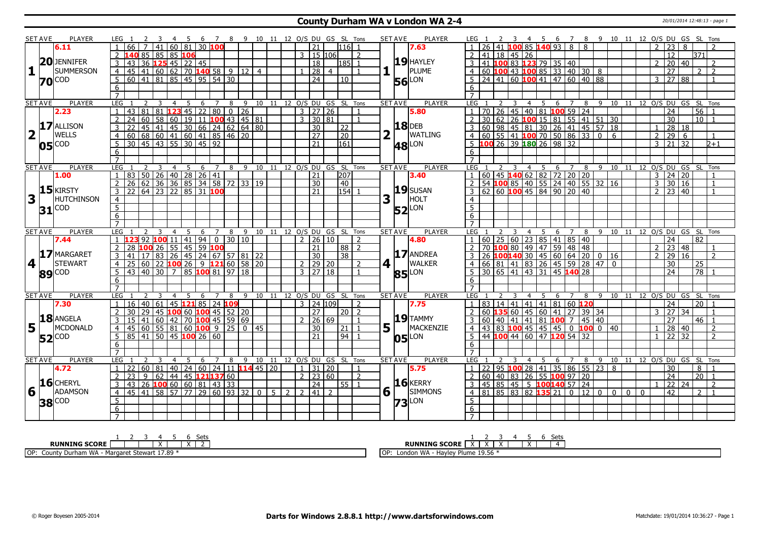#### **County Durham WA v London WA 2-4** 20/01/2014 12:48:13 - page 1

|                         | SET AVE        | <b>PLAYER</b>       | LEG 1               |                                                      |                                                     |   |                |    |   |                         |                      |                          |                         |                 |                |                                  |                | 3  4  5  6  7  8  9  10  11  12  O/S  DU  GS  SL  Tons |                                |                | <b>SET AVE</b><br><b>PLAYER</b> | LEG 1                                                               |                                                | - 3    |                | 4 5 6 7 8 9 10 11 12 O/S DU GS SL Tons |                 |                                  |                     |                   |                              |    |                |                      |                 |                 |                          |
|-------------------------|----------------|---------------------|---------------------|------------------------------------------------------|-----------------------------------------------------|---|----------------|----|---|-------------------------|----------------------|--------------------------|-------------------------|-----------------|----------------|----------------------------------|----------------|--------------------------------------------------------|--------------------------------|----------------|---------------------------------|---------------------------------------------------------------------|------------------------------------------------|--------|----------------|----------------------------------------|-----------------|----------------------------------|---------------------|-------------------|------------------------------|----|----------------|----------------------|-----------------|-----------------|--------------------------|
|                         |                | 6.11                |                     |                                                      |                                                     |   |                |    |   | $41   60   81   30$ 100 |                      |                          |                         |                 |                | 21                               |                | l116l 1                                                |                                |                | 7.63                            |                                                                     |                                                |        |                | 85 140 93 8                            |                 |                                  | 8                   |                   |                              |    | $\overline{2}$ | 23                   | 8               |                 |                          |
|                         |                |                     |                     |                                                      | L40 85   85   85 <mark>106</mark>                   |   |                |    |   |                         |                      |                          |                         |                 | 3              | 15   106                         |                |                                                        | 2                              |                |                                 |                                                                     | 41   18   45   26                              |        |                |                                        |                 |                                  |                     |                   |                              |    |                | 12                   |                 | 371             |                          |
|                         |                | 20JENNIFER          | 3                   | 43                                                   | 36 125 45 22 45                                     |   |                |    |   |                         |                      |                          |                         |                 |                | 18                               |                | $ 185 $ 1                                              |                                |                | $19$ HAYLEY                     |                                                                     | 41 100                                         |        |                | 83 123 79 35 40                        |                 |                                  |                     |                   |                              |    |                | 20 40                |                 |                 | $\overline{\phantom{a}}$ |
| 1                       |                | <b>SUMMERSON</b>    | 4 <sup>1</sup>      | $145$   41   60   62   70 <b>140</b> 58   9   12   4 |                                                     |   |                |    |   |                         |                      |                          |                         |                 | $\mathbf{1}$   | $\overline{28}$                  | $\overline{4}$ |                                                        |                                |                | PLUME                           | $\overline{4}$                                                      | $\overline{60}$ 100 43 100 85 33 40 30 8       |        |                |                                        |                 |                                  |                     |                   |                              |    |                | $\overline{27}$      |                 | $\mathcal{P}$   | $\overline{2}$           |
|                         |                | <b>70</b> COD       | 5 <sup>5</sup>      | 60   41   81   85   45   95   54   30                |                                                     |   |                |    |   |                         |                      |                          |                         |                 |                | $\overline{24}$                  |                | 10                                                     |                                |                | LON                             | .5.                                                                 | $24   41   60   100   41   47   60   40   88$  |        |                |                                        |                 |                                  |                     |                   |                              |    | 3              | $\overline{27}$      | 88              |                 |                          |
|                         |                |                     | 6                   |                                                      |                                                     |   |                |    |   |                         |                      |                          |                         |                 |                |                                  |                |                                                        |                                |                | 56                              | 6                                                                   |                                                |        |                |                                        |                 |                                  |                     |                   |                              |    |                |                      |                 |                 |                          |
|                         |                |                     | $\overline{7}$      |                                                      |                                                     |   |                |    |   |                         |                      |                          |                         |                 |                |                                  |                |                                                        |                                |                |                                 | $\overline{7}$                                                      |                                                |        |                |                                        |                 |                                  |                     |                   |                              |    |                |                      |                 |                 |                          |
|                         | <b>SET AVE</b> | <b>PLAYER</b>       | <b>LEG</b>          |                                                      |                                                     | 3 | $\overline{4}$ | -5 |   | 6 7                     | 8                    |                          |                         |                 |                |                                  |                | 9 10 11 12 0/S DU GS SL Tons                           |                                |                | <b>PLAYER</b><br><b>SET AVE</b> | <b>LEG</b>                                                          |                                                | 3      | $\overline{4}$ | 5 6                                    |                 | 7 8 9 10 11 12 0/S DU GS SL Tons |                     |                   |                              |    |                |                      |                 |                 |                          |
|                         |                | 2.23                | 1                   | 43                                                   | 81 81 <b>123</b> 45 22 80 0 26                      |   |                |    |   |                         |                      |                          |                         |                 |                | $3 \mid 27 \mid 26$              |                |                                                        | $\mathbf{1}$                   |                | 5.80                            | $\vert$ 1                                                           | 70 26 45 40 81 100 59 24                       |        |                |                                        |                 |                                  |                     |                   |                              |    |                | $\overline{24}$      |                 | $56$ 1          |                          |
|                         |                |                     | $\overline{2}$      | 24                                                   | 60 l                                                |   |                |    |   |                         |                      | 58 60 19 11 100 43 45 81 |                         |                 |                | $3 \overline{)30 \overline{81}}$ |                |                                                        | $\overline{1}$                 |                |                                 |                                                                     | $30 62 26$ 100 15 81 55 41 51 30               |        |                |                                        |                 |                                  |                     |                   |                              |    |                | $\overline{30}$      |                 | $10$ $1$        |                          |
|                         |                | 17 ALLISON          | $\overline{3}$      |                                                      | 45 41 45 30 66 24 62 64 80                          |   |                |    |   |                         |                      |                          |                         |                 |                | 30                               |                | $\overline{22}$                                        |                                |                | <b>18</b> DEB                   | 60                                                                  | 98                                             |        |                | 45   81   30   26   41   45   57   18  |                 |                                  |                     |                   |                              |    | $\overline{1}$ | 28 18                |                 |                 |                          |
| $\overline{\mathbf{2}}$ |                | <b>WELLS</b>        |                     | 60                                                   | 68 60 41 60 41 85 46 20                             |   |                |    |   |                         |                      |                          |                         |                 |                | $\overline{27}$                  |                | $\overline{20}$                                        |                                |                | <b>WATLING</b>                  | 60 l                                                                |                                                |        |                | $55 \mid 41$ 100 70 50 86 33 0         |                 |                                  |                     |                   | 6                            |    | $\overline{2}$ | $\overline{29}$      | 6               |                 |                          |
|                         |                |                     | 5                   | 30   45   43   55   30   45   92                     |                                                     |   |                |    |   |                         |                      |                          |                         |                 |                | $\overline{21}$                  |                | 161                                                    |                                |                |                                 | 5                                                                   | 100 26 39 180 26 98 32                         |        |                |                                        |                 |                                  |                     |                   |                              |    | $\overline{3}$ | $\overline{21}$      | $\overline{32}$ |                 | $2+1$                    |
|                         |                | $05^{\text{[COD]}}$ |                     |                                                      |                                                     |   |                |    |   |                         |                      |                          |                         |                 |                |                                  |                |                                                        |                                |                | <b>48</b> LON                   |                                                                     |                                                |        |                |                                        |                 |                                  |                     |                   |                              |    |                |                      |                 |                 |                          |
|                         |                |                     | 6                   |                                                      |                                                     |   |                |    |   |                         |                      |                          |                         |                 |                |                                  |                |                                                        |                                |                |                                 | 6                                                                   |                                                |        |                |                                        |                 |                                  |                     |                   |                              |    |                |                      |                 |                 |                          |
|                         |                |                     | $\overline{7}$      |                                                      |                                                     |   |                |    |   |                         |                      |                          |                         |                 |                |                                  |                |                                                        |                                |                |                                 | $\overline{7}$                                                      |                                                |        |                |                                        |                 |                                  |                     |                   |                              |    |                |                      |                 |                 |                          |
|                         | <b>SET AVE</b> | <b>PLAYER</b>       | LEG                 |                                                      |                                                     | 3 | $\overline{4}$ | 5  | 6 | $\overline{7}$          | 8                    | 9                        | 10                      | $\overline{11}$ |                | 12 0/S DU GS SL                  |                |                                                        | Tons                           |                | <b>SET AVE</b><br><b>PLAYER</b> | LEG                                                                 |                                                |        | $\overline{4}$ | 5                                      | 6               | $\overline{7}$                   | 8                   | $\overline{9}$ 10 |                              | 11 |                | 12 O/S DU GS SL Tons |                 |                 |                          |
|                         |                | 1.00                |                     | 83                                                   | $50$   26   40   28   26   41                       |   |                |    |   |                         |                      |                          |                         |                 |                | 21                               |                | 207                                                    |                                |                | 3.40                            | $\overline{1}$                                                      | 60 45 140 62 82 72 20 20                       |        |                |                                        |                 |                                  |                     |                   |                              |    | $\overline{3}$ | 24 20                |                 |                 |                          |
|                         |                | $15$ <b>KIRSTY</b>  | $\overline{2}$      | 26                                                   | 62   36   36   85   34   58   72   33   19          |   |                |    |   |                         |                      |                          |                         |                 |                | 30                               |                | $\sqrt{40}$                                            |                                |                |                                 | $\overline{2}$                                                      | 54 <b>100</b> 85 40 55 24 40 55 32 16          |        |                |                                        |                 |                                  |                     |                   |                              |    | 3              | 30 16                |                 |                 | $\overline{1}$           |
|                         |                |                     | $\overline{3}$      | 22 64 23 22 85 31 100                                |                                                     |   |                |    |   |                         |                      |                          |                         |                 |                | 21                               |                | $154$ 1                                                |                                |                | $ 19 $ susan                    | 3                                                                   | $62$ 60 100 45 84 90 20 40                     |        |                |                                        |                 |                                  |                     |                   |                              |    | $\overline{2}$ | 23 40                |                 |                 |                          |
| $\overline{\mathbf{3}}$ |                | <b>HUTCHINSON</b>   | $\overline{4}$      |                                                      |                                                     |   |                |    |   |                         |                      |                          |                         |                 |                |                                  |                |                                                        |                                | 3              | HOLT                            | $\overline{4}$                                                      |                                                |        |                |                                        |                 |                                  |                     |                   |                              |    |                |                      |                 |                 |                          |
|                         |                | $31$ COD            | $\overline{5}$      |                                                      |                                                     |   |                |    |   |                         |                      |                          |                         |                 |                |                                  |                |                                                        |                                |                | <b>52</b> LON                   | $\overline{5}$                                                      |                                                |        |                |                                        |                 |                                  |                     |                   |                              |    |                |                      |                 |                 |                          |
|                         |                |                     | 6                   |                                                      |                                                     |   |                |    |   |                         |                      |                          |                         |                 |                |                                  |                |                                                        |                                |                |                                 | 6                                                                   |                                                |        |                |                                        |                 |                                  |                     |                   |                              |    |                |                      |                 |                 |                          |
|                         |                |                     | $\overline{7}$      |                                                      |                                                     |   |                |    |   |                         |                      |                          |                         |                 |                |                                  |                |                                                        |                                |                |                                 |                                                                     |                                                |        |                |                                        |                 |                                  |                     |                   |                              |    |                |                      |                 |                 |                          |
|                         |                |                     |                     |                                                      |                                                     |   | 4              | 5  |   | 6 7                     |                      |                          |                         |                 |                |                                  |                |                                                        | 8 9 10 11 12 O/S DU GS SL Tons |                | <b>SET AVE</b><br><b>PLAYER</b> | LEG                                                                 |                                                |        |                | 4 5                                    |                 | 6 7                              | 89                  |                   | 10 11                        |    |                | 12 O/S DU GS SL Tons |                 |                 |                          |
|                         | <b>SET AVE</b> | <b>PLAYER</b>       | LEG                 |                                                      |                                                     |   |                |    |   |                         |                      |                          |                         |                 |                |                                  |                |                                                        |                                |                |                                 |                                                                     |                                                |        |                |                                        |                 |                                  |                     |                   |                              |    |                |                      |                 |                 |                          |
|                         |                | 7.44                |                     |                                                      | 92 100 11 41 94                                     |   |                |    |   | $\overline{0}$          |                      | 30 10                    |                         |                 | $\overline{2}$ | 26                               | l 10-          |                                                        | $\overline{2}$                 |                | 4.80                            |                                                                     | $60$   25                                      |        |                | 60   23   85   41   85   40            |                 |                                  |                     |                   |                              |    |                | 24                   |                 | 82              |                          |
|                         |                |                     | $\overline{2}$      | 28 100 26 55 45 59 100                               |                                                     |   |                |    |   |                         |                      |                          |                         |                 |                | $\overline{21}$                  |                | 88 2                                                   |                                |                |                                 |                                                                     | 70 100                                         |        |                | 80 49 47 59 48 48                      |                 |                                  |                     |                   |                              |    | 2              | $\sqrt{23}$ 48       |                 |                 |                          |
|                         |                | 17 MARGARET         | 3                   | 41                                                   | 17 <sup>1</sup>                                     |   |                |    |   |                         |                      |                          | 83 26 45 24 67 57 81 22 |                 |                | 30                               |                | $\overline{38}$                                        |                                |                | 17 ANDREA                       | 26                                                                  |                                                |        |                | $100140$ 30 45 60 64 20 0 16           |                 |                                  |                     |                   |                              |    | $\overline{2}$ | 29 16                |                 |                 | $\overline{2}$           |
| 4                       |                | <b>STEWART</b>      | $\overline{4}$      | 25                                                   | $60$ 22 <b>100</b> 26 9 <b>121</b> 60 58 20         |   |                |    |   |                         |                      |                          |                         |                 |                | $2 \mid 29 \mid 20$              |                |                                                        | $\overline{2}$                 | 4 1            | <b>WALKER</b>                   |                                                                     |                                                |        |                |                                        |                 |                                  |                     |                   |                              |    |                | 30                   |                 | 25              |                          |
|                         |                |                     | 5 <sup>5</sup>      | 43 40 30 7 85 100 81 97 18                           |                                                     |   |                |    |   |                         |                      |                          |                         |                 |                | $3 \mid 27 \mid 18$              |                |                                                        | $\mathbf{1}$                   |                | LON                             | 4 66 81 41 83 26 45 59 28 47 0<br>5 30 65 41 43 31 45 <b>140</b> 28 |                                                |        |                |                                        |                 |                                  |                     |                   |                              |    |                | $\overline{24}$      |                 | $\overline{78}$ |                          |
|                         |                | 89 COD              | 6                   |                                                      |                                                     |   |                |    |   |                         |                      |                          |                         |                 |                |                                  |                |                                                        |                                |                | 85                              | 6                                                                   |                                                |        |                |                                        |                 |                                  |                     |                   |                              |    |                |                      |                 |                 |                          |
|                         |                |                     | $\overline{7}$      |                                                      |                                                     |   |                |    |   |                         |                      |                          |                         |                 |                |                                  |                |                                                        |                                |                |                                 | $\overline{7}$                                                      |                                                |        |                |                                        |                 |                                  |                     |                   |                              |    |                |                      |                 |                 |                          |
|                         | <b>SET AVE</b> | <b>PLAYER</b>       | LEG                 |                                                      |                                                     |   | $\overline{4}$ | 5  | 6 | 7                       | - 8                  | 9                        |                         |                 |                |                                  |                | 10 11 12 O/S DU GS SL Tons                             |                                |                | <b>PLAYER</b><br><b>SET AVE</b> | LEG                                                                 |                                                |        | 4              |                                        | -6              | 7                                | 8                   | - 9               | 10 11 12 O/S DU GS SL Tons   |    |                |                      |                 |                 |                          |
|                         |                | 7.30                | $\overline{1}$      | 16                                                   | 40 l                                                |   |                |    |   |                         | 61 45 121 85 24 109  |                          |                         |                 |                | $3$   24   109                   |                |                                                        | $\overline{2}$                 |                | 7.75                            | $\vert$ 1                                                           | $83 \mid 14 \mid 41$                           |        | 41             | 41                                     | $\overline{81}$ | 60 120                           |                     |                   |                              |    |                | $\overline{24}$      |                 | $20$   1        |                          |
|                         |                |                     | $\overline{2}$      | 30 <sup>°</sup>                                      | 29 I                                                |   |                |    |   |                         |                      | 45 100 60 100 45 52 20   |                         |                 |                | $\overline{27}$                  |                | 20   2                                                 |                                |                |                                 | $\overline{2}$                                                      | 60 <b>135</b> 60   45   60   41   27   39   34 |        |                |                                        |                 |                                  |                     |                   |                              |    | 3              | 27 34                |                 |                 |                          |
|                         |                | 18 ANGELA           | $\overline{3}$      | 15                                                   |                                                     |   |                |    |   |                         |                      |                          |                         |                 | $\mathcal{P}$  |                                  |                |                                                        |                                |                | $19$ TAMMY                      |                                                                     | 60 40 41                                       |        |                | $ 41 81 $ 100 7                        |                 |                                  |                     |                   |                              |    |                | $\overline{27}$      |                 | 46              | $\overline{1}$           |
|                         |                | MCDONALD            | $\overline{4}$      | 45                                                   | 41 60 42 70 100 45 59 69                            |   |                |    |   |                         |                      |                          | $0 \mid 45$             |                 |                | 26 69                            |                |                                                        |                                |                | MACKENZIE                       |                                                                     |                                                |        |                |                                        |                 | $\mathbf{0}$                     | $45 \mid 40$<br>100 | $0 \mid 40$       |                              |    |                |                      |                 |                 |                          |
| 5                       |                |                     |                     |                                                      | $60$ 55 81 60 100 9 25                              |   |                |    |   |                         |                      |                          |                         |                 |                | 30                               |                | 21                                                     |                                | 5 <sub>1</sub> |                                 |                                                                     | 43 83 100 45 45 45                             |        |                |                                        |                 |                                  |                     |                   |                              |    | $\mathbf{1}$   | 28 40                |                 |                 | 2<br>$\overline{2}$      |
|                         |                | <b>52</b> COD       | 5                   | 85 41 50 45 100 26 60                                |                                                     |   |                |    |   |                         |                      |                          |                         |                 |                | 21                               |                | 94 1                                                   |                                |                | $05$ <sup>LON</sup>             | $\overline{5}$                                                      | 44   100   44   60   47   120   54   32        |        |                |                                        |                 |                                  |                     |                   |                              |    |                | $22 \mid 32$         |                 |                 |                          |
|                         |                |                     | 6                   |                                                      |                                                     |   |                |    |   |                         |                      |                          |                         |                 |                |                                  |                |                                                        |                                |                |                                 | 6                                                                   |                                                |        |                |                                        |                 |                                  |                     |                   |                              |    |                |                      |                 |                 |                          |
|                         |                |                     | $\overline{7}$      |                                                      |                                                     |   |                |    |   |                         |                      |                          |                         |                 |                |                                  |                |                                                        |                                |                |                                 | $\overline{7}$                                                      |                                                |        |                |                                        |                 |                                  |                     |                   |                              |    |                |                      |                 |                 |                          |
|                         | <b>SET AVE</b> | <b>PLAYER</b>       | LEG                 |                                                      |                                                     |   |                | 5  | 6 | $7^{\circ}$             | 8                    |                          |                         |                 |                |                                  |                | 9 10 11 12 0/S DU GS SL Tons                           |                                |                | <b>PLAYER</b><br><b>SET AVE</b> | LEG                                                                 |                                                |        | 4              | .5.                                    | 6               | $\overline{7}$                   | 8                   |                   | 9 10 11 12 O/S DU GS SL Tons |    |                |                      |                 |                 |                          |
|                         |                | 4.72                | $\overline{1}$      | 22                                                   | 60   81   40   24   60   24   11 <b>114</b> 45   20 |   |                |    |   |                         |                      |                          |                         |                 |                | $1 \mid 31 \mid 20$              |                |                                                        | $\overline{1}$                 |                | 5.75                            | 22<br>$\overline{1}$                                                |                                                | 95 100 |                | 28 41 35 86 55 23 8                    |                 |                                  |                     |                   |                              |    |                | $\overline{30}$      |                 | 8               |                          |
|                         |                |                     | <sup>2</sup>        | 23                                                   | $\overline{9}$                                      |   |                |    |   |                         | $62$ 44 45 121137 60 |                          |                         |                 |                | $2 \mid 23 \mid 60$              |                |                                                        | 2                              |                |                                 | 2<br>60                                                             |                                                |        |                | 40 83 26 55 100 97 20                  |                 |                                  |                     |                   |                              |    |                | $\overline{24}$      |                 | $\overline{20}$ | $\mathbf{1}$             |
|                         |                | $16$ CHERYL         | $\overline{3}$      | 43                                                   | $26$ 100 60 60 81 43 33                             |   |                |    |   |                         |                      |                          |                         |                 |                | $\sqrt{24}$                      |                | 55 1                                                   |                                |                | $16$ <b>KERRY</b>               | $\overline{3}$                                                      | 45 85 45 5 100 140 57 24                       |        |                |                                        |                 |                                  |                     |                   |                              |    |                | $22 \mid 24$         |                 |                 | $\overline{2}$           |
| 6                       |                | <b>ADAMSON</b>      | $\overline{4}$      | 45                                                   | $41$ 58 57 77 29 60 93 32 0 5 2                     |   |                |    |   |                         |                      |                          |                         |                 | $\overline{2}$ | $141$ 2                          |                |                                                        |                                | 6              | <b>SIMMONS</b>                  | $\overline{4}$                                                      | 81   85   83   82 <b>135</b> 21   0            |        |                |                                        |                 |                                  |                     |                   | 1200000                      |    |                | $\overline{42}$      |                 | $2^{\circ}$     | $\overline{1}$           |
|                         |                | <b>38</b> COD       | 5                   |                                                      |                                                     |   |                |    |   |                         |                      |                          |                         |                 |                |                                  |                |                                                        |                                |                | LON<br>73                       | 5                                                                   |                                                |        |                |                                        |                 |                                  |                     |                   |                              |    |                |                      |                 |                 |                          |
|                         |                |                     | 6<br>$\overline{7}$ |                                                      |                                                     |   |                |    |   |                         |                      |                          |                         |                 |                |                                  |                |                                                        |                                |                |                                 | 6<br>$\overline{7}$                                                 |                                                |        |                |                                        |                 |                                  |                     |                   |                              |    |                |                      |                 |                 |                          |

| וםר                                                                                                 | +ه ><br>JCL.                                                |
|-----------------------------------------------------------------------------------------------------|-------------------------------------------------------------|
| <b>RUNNING SCORE</b><br>$\cdots$                                                                    | <b>RUNNING SCORT</b><br>$\ddot{\phantom{1}}$<br>$\cdots$    |
| $\ldots$ Stewart 17.89 $^{\circ}$<br>OP:<br>ີາm WA -<br>· Margaret<br><sup>,</sup> Durham<br>COUNTY | $-1050$<br>l OF<br>London WA<br>Plume 19.56<br><b>Havle</b> |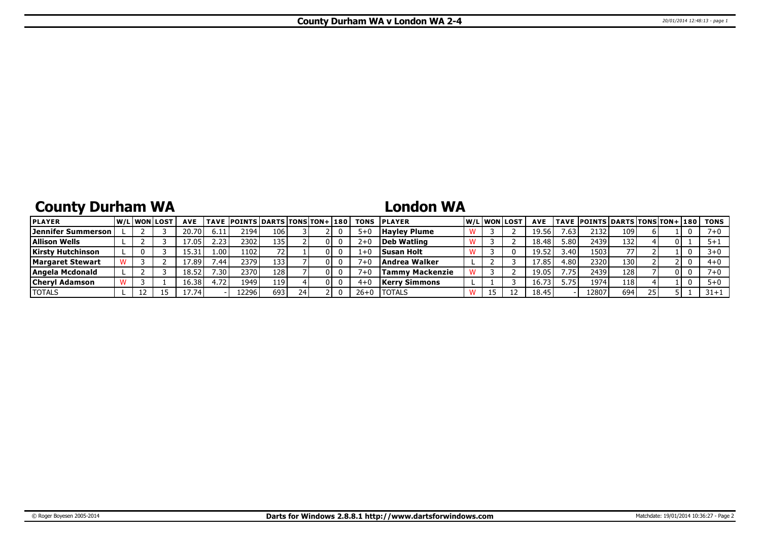# **County Durham WA**

### **London WA**

| <b>PLAYER</b>             | W/Liwonilost | <b>AVE</b>         |                   | <b>TAVE POINTS DARTS TONS TON+ 180</b> |      |    |     | <b>TONS</b> | <b>IPLAYER</b>      |  | W/Liwonilost | <b>AVE</b>     |                   | <b>TAVE POINTS DARTS TONS TON+ 180</b> |                  |    |     | TONS    |
|---------------------------|--------------|--------------------|-------------------|----------------------------------------|------|----|-----|-------------|---------------------|--|--------------|----------------|-------------------|----------------------------------------|------------------|----|-----|---------|
| <b>Jennifer Summerson</b> |              | 20.70 l            | 6.11              | 2194                                   | 106  |    |     | $5+0$       | <b>Hayley Plume</b> |  |              | 19.56          | $^{\prime}$ .63 l | 2132.                                  | 109              |    |     |         |
| <b>Allison Wells</b>      |              | 17.05 <sub>1</sub> | 2.23              | 2302                                   | 135  |    | OΙ  | $2+0$       | Deb Watling         |  |              | 18.48          | 5.80              | 2439                                   | 132 <sub>1</sub> |    |     |         |
| <b>Kirsty Hutchinson</b>  |              | 15.31              | 1.00 <sup>1</sup> | 1102                                   |      |    |     | $1 + 0$     | Susan Holt          |  |              | 19.52          | 3.40              | 1503                                   | 77               |    |     |         |
| <b>Margaret Stewart</b>   |              | l 7.89 l           | .44               | 2379                                   | 133  |    | OΙ  |             | Andrea Walker       |  |              |                | 4.80              | 23201                                  | 130              |    |     | $4 + 0$ |
| Angela Mcdonald           |              | 18.52              | .30 <sup>1</sup>  | 23701                                  | 128  |    | 01  |             | Tammv Mackenzie     |  |              | 19.05          | .75 <sup>2</sup>  | 2439                                   | 128              |    | 0 I |         |
| <b>Cheryl Adamson</b>     |              | 16.38              | 72ء               | 1949                                   | 119' |    | 0 I |             | Kerrv Simmons       |  |              | $16.7^{\circ}$ | 5.75              | 1974                                   | 118              |    |     |         |
| <b>TOTALS</b>             | 12           | 17.74              |                   | 12296                                  | 693  | 24 |     | $26+0$      | <b>ITOTALS</b>      |  |              | 18.45          |                   | 12807                                  | 694              | 25 |     | 31+1    |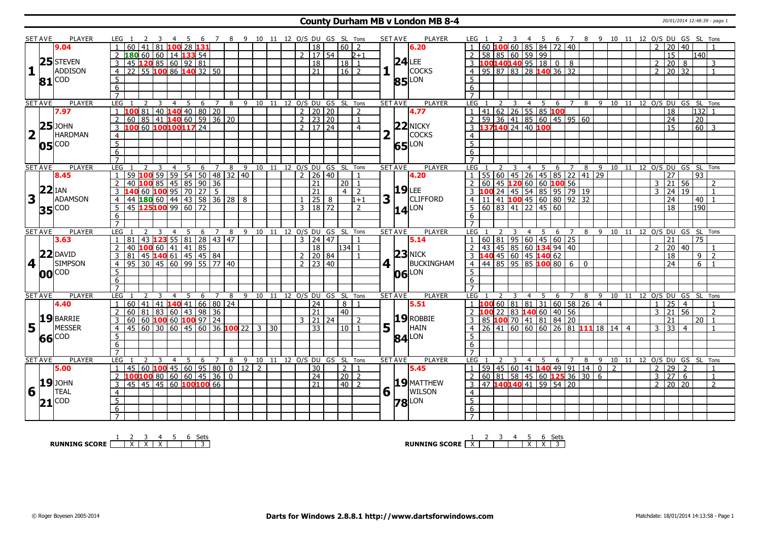#### **County Durham MB v London MB 8-4** 20/01/2014 12:48:39 - page 1

|   | <b>SET AVE</b>       | PLAYER              | LEG 1               |                                                                                                  | <sup>2</sup>                    |                         |                |     |            |                |                |              |  |              |                                                | 3 4 5 6 7 8 9 10 11 12 O/S DU GS SL Tons |                |         | SET AVE              | PLAYER          | LEG 1            |  |                                             |                |                                                                                                             |     |                |    | 2 3 4 5 6 7 8 9 10 11 12 O/S DU GS SL Tons                |                                            |                |                    |                |                   |                |
|---|----------------------|---------------------|---------------------|--------------------------------------------------------------------------------------------------|---------------------------------|-------------------------|----------------|-----|------------|----------------|----------------|--------------|--|--------------|------------------------------------------------|------------------------------------------|----------------|---------|----------------------|-----------------|------------------|--|---------------------------------------------|----------------|-------------------------------------------------------------------------------------------------------------|-----|----------------|----|-----------------------------------------------------------|--------------------------------------------|----------------|--------------------|----------------|-------------------|----------------|
|   |                      | 9.04                |                     | 60  41  81                                                                                       |                                 |                         |                |     | 100 28 131 |                |                |              |  |              | 18                                             | 60 l                                     | 2              |         |                      | 6.20            |                  |  |                                             |                | 60 <b>100</b> 60 85 84 72 40                                                                                |     |                |    |                                                           |                                            |                | 20                 | 40             |                   |                |
|   |                      |                     |                     | 2 180 60 60 14 133 54                                                                            |                                 |                         |                |     |            |                |                |              |  |              | $2 \mid 17 \mid 54$                            |                                          | $2 + 1$        |         |                      |                 |                  |  | $2 \mid 58 \mid 85 \mid 60 \mid 59 \mid 99$ |                |                                                                                                             |     |                |    |                                                           |                                            |                | $\overline{15}$    |                | 11401             |                |
|   |                      | $25$ STEVEN         | 3                   |                                                                                                  |                                 |                         |                |     |            |                |                |              |  |              | $\overline{18}$                                | 18                                       | $\overline{1}$ |         |                      | $24$ LEE        |                  |  |                                             |                | 3  100140140  95  18  0 8                                                                                   |     |                |    |                                                           |                                            | $\overline{2}$ | 20                 | 8              |                   | 3              |
| 1 |                      | ADDISON             |                     | 45 120 85 60 92 81<br>22 55 100 86 140 32 50                                                     |                                 |                         |                |     |            |                |                |              |  |              | 21                                             |                                          |                |         | LΓ                   | <b>COCKS</b>    |                  |  |                                             |                | 4 95 87 83 28 140 36 32                                                                                     |     |                |    |                                                           |                                            |                |                    |                |                   |                |
|   |                      |                     | $\overline{4}$      |                                                                                                  |                                 |                         |                |     |            |                |                |              |  |              |                                                | $16$   2                                 |                |         |                      |                 |                  |  |                                             |                |                                                                                                             |     |                |    |                                                           |                                            | $\overline{2}$ | 20 32              |                |                   | $\overline{1}$ |
|   |                      | $81$ COD            | -5                  |                                                                                                  |                                 |                         |                |     |            |                |                |              |  |              |                                                |                                          |                |         |                      | <b>85</b> LON   | 5 <sup>1</sup>   |  |                                             |                |                                                                                                             |     |                |    |                                                           |                                            |                |                    |                |                   |                |
|   |                      |                     | 6                   |                                                                                                  |                                 |                         |                |     |            |                |                |              |  |              |                                                |                                          |                |         |                      |                 | 6                |  |                                             |                |                                                                                                             |     |                |    |                                                           |                                            |                |                    |                |                   |                |
|   |                      |                     | $\overline{7}$      |                                                                                                  |                                 |                         |                |     |            |                |                |              |  |              |                                                |                                          |                |         |                      |                 | $\overline{7}$   |  |                                             |                |                                                                                                             |     |                |    |                                                           |                                            |                |                    |                |                   |                |
|   | <b>SET AVE</b>       | PLAYER              | LEG                 |                                                                                                  | 2                               | $\overline{\mathbf{3}}$ |                | 4 5 |            |                |                |              |  |              |                                                | 6 7 8 9 10 11 12 O/S DU GS SL Tons       |                | SET AVE |                      | PLAYER          | $LEG$ 1          |  |                                             |                |                                                                                                             |     |                |    |                                                           | 2 3 4 5 6 7 8 9 10 11 12 O/S DU GS SL Tons |                |                    |                |                   |                |
|   |                      | 7.97                |                     | 1 100 81 40 140 40 80 20<br>2 60 85 41 140 60 59 36 20                                           |                                 |                         |                |     |            |                |                |              |  |              | $2 \mid 20 \mid 20$                            |                                          | $\overline{2}$ |         |                      | 4.77            |                  |  |                                             |                | $1  41   62   26   55   85$ 100                                                                             |     |                |    |                                                           |                                            |                | $\overline{18}$    |                | $132$ 1           |                |
|   |                      |                     |                     |                                                                                                  |                                 |                         |                |     |            |                |                |              |  |              | $\overline{2}$ $\overline{23}$ $\overline{20}$ |                                          | $\mathbf{1}$   |         |                      |                 |                  |  |                                             |                | 2   59   36   41   85   60   45   95   60                                                                   |     |                |    |                                                           |                                            |                | 24                 |                | $\overline{20}$   |                |
|   |                      | $25$ JOHN           |                     | 100 60 100 100 117 24                                                                            |                                 |                         |                |     |            |                |                |              |  |              | 2   17   24                                    |                                          | $\overline{4}$ |         |                      | $22$ NICKY      |                  |  | 3 137140 24 40 100                          |                |                                                                                                             |     |                |    |                                                           |                                            |                | 15                 |                | $\overline{60}$ 3 |                |
|   | $2\Gamma$            | <b>HARDMAN</b>      | $\overline{4}$      |                                                                                                  |                                 |                         |                |     |            |                |                |              |  |              |                                                |                                          |                |         |                      | <b>COCKS</b>    | $\overline{4}$   |  |                                             |                |                                                                                                             |     |                |    |                                                           |                                            |                |                    |                |                   |                |
|   |                      | $05^{\text{[COD]}}$ | $5\overline{)}$     |                                                                                                  |                                 |                         |                |     |            |                |                |              |  |              |                                                |                                          |                |         |                      | 65 LON          | $\overline{5}$   |  |                                             |                |                                                                                                             |     |                |    |                                                           |                                            |                |                    |                |                   |                |
|   |                      |                     | 6                   |                                                                                                  |                                 |                         |                |     |            |                |                |              |  |              |                                                |                                          |                |         |                      |                 | 6                |  |                                             |                |                                                                                                             |     |                |    |                                                           |                                            |                |                    |                |                   |                |
|   |                      |                     | $\overline{7}$      |                                                                                                  |                                 |                         |                |     |            |                |                |              |  |              |                                                |                                          |                |         |                      |                 | $\overline{7}$   |  |                                             |                |                                                                                                             |     |                |    |                                                           |                                            |                |                    |                |                   |                |
|   | <b>SET AVE</b>       | <b>PLAYER</b>       | <b>LEG</b>          |                                                                                                  |                                 |                         | $\overline{4}$ | 5   | 6          | $\overline{7}$ | 8              |              |  |              |                                                | 9 10 11 12 O/S DU GS SL Tons             |                |         | <b>SET AVE</b>       | <b>PLAYER</b>   | LEG              |  |                                             |                | 4 5 6 7                                                                                                     |     |                | 8  |                                                           | 9 10 11 12 O/S DU GS SL Tons               |                |                    |                |                   |                |
|   |                      | 8.45                | $\overline{1}$      | 59 100 59 59 54 50 48 32 40                                                                      |                                 |                         |                |     |            |                |                |              |  |              | $2 \mid 26 \mid 40$                            |                                          | $\overline{1}$ |         |                      | 4.20            |                  |  |                                             |                | $1   55   60   45   26   45   85   22   41   29$                                                            |     |                |    |                                                           |                                            |                | 27                 |                | $\overline{93}$   |                |
|   |                      |                     | $\overline{z}$      |                                                                                                  |                                 |                         |                |     |            |                |                |              |  |              | 21                                             | $20$   1                                 |                |         |                      |                 |                  |  |                                             |                |                                                                                                             |     |                |    |                                                           |                                            | 3              | 21                 | 56             |                   |                |
|   |                      | $22$ IAN            | $\mathcal{R}$       | 40 100 85 45 85 90 36<br>140 60 100 95 70 27 5<br>44 180 60 44 43 58 36 28<br>45 125100 99 60 72 |                                 |                         |                |     |            |                |                |              |  |              | $\overline{21}$                                | $4\overline{2}$                          |                |         |                      | $19$ LEE        |                  |  |                                             |                | 2 60 45 120 60 60 100 56<br>3 100 24 45 54 85 95 79 19<br>4 11 41 100 45 60 80 92 32<br>5 60 83 41 22 45 60 |     |                |    |                                                           |                                            | $\mathcal{E}$  | 24 19              |                |                   | $\overline{1}$ |
| 3 |                      | ADAMSON             |                     |                                                                                                  |                                 |                         |                |     |            |                |                | 8            |  | $\mathbf{1}$ | $\sqrt{25/8}$                                  |                                          |                | 3       |                      | <b>CLIFFORD</b> |                  |  |                                             |                |                                                                                                             |     |                |    |                                                           |                                            |                |                    |                |                   |                |
|   |                      |                     | $\overline{4}$      |                                                                                                  |                                 |                         |                |     |            |                |                |              |  |              |                                                |                                          | $1 + 1$        |         |                      |                 |                  |  |                                             |                |                                                                                                             |     |                |    |                                                           |                                            |                | 24                 |                | 40                |                |
|   |                      | <b>35</b> COD       | $5^{\circ}$         |                                                                                                  |                                 |                         |                |     |            |                |                |              |  |              | 3   18   72                                    |                                          | $\overline{2}$ |         |                      | $14$ LON        |                  |  |                                             |                |                                                                                                             |     |                |    |                                                           |                                            |                | $\overline{18}$    |                | 190               |                |
|   |                      |                     | 6                   |                                                                                                  |                                 |                         |                |     |            |                |                |              |  |              |                                                |                                          |                |         |                      |                 | 6                |  |                                             |                |                                                                                                             |     |                |    |                                                           |                                            |                |                    |                |                   |                |
|   |                      |                     |                     |                                                                                                  |                                 |                         |                |     |            |                |                |              |  |              |                                                |                                          |                |         |                      |                 |                  |  |                                             |                |                                                                                                             |     |                |    |                                                           |                                            |                |                    |                |                   |                |
|   | <b>SET AVE</b>       | <b>PLAYER</b>       | LEG                 |                                                                                                  |                                 |                         | $\overline{4}$ | 5   | 6          | 7              | 8              |              |  |              |                                                | 9 10 11 12 O/S DU GS SL Tons             |                |         | <b>SET AVE</b>       | <b>PLAYER</b>   | LEG              |  |                                             | $\overline{4}$ | - 5                                                                                                         | 6   | $\overline{7}$ | 89 |                                                           | 10 11 12 0/S DU GS SL                      |                |                    |                |                   | Tons           |
|   |                      |                     |                     |                                                                                                  |                                 |                         |                |     |            |                |                |              |  |              |                                                |                                          |                |         |                      |                 |                  |  |                                             |                |                                                                                                             |     |                |    |                                                           |                                            |                |                    |                |                   |                |
|   |                      | 3.63                |                     | 81                                                                                               | 43   123 55   81   28   43   47 |                         |                |     |            |                |                |              |  |              | $3 \mid 24 \mid 47$                            |                                          |                |         |                      | 5.14            |                  |  |                                             |                |                                                                                                             |     |                |    |                                                           |                                            |                | 21                 |                | 75                |                |
|   |                      |                     |                     |                                                                                                  |                                 |                         |                |     |            |                |                |              |  |              | $\overline{18}$                                | 134 1                                    |                |         |                      |                 |                  |  |                                             |                | 2 43 45 85 60 134 94 40                                                                                     |     |                |    |                                                           |                                            | $\mathcal{P}$  | 20                 | 40             |                   |                |
|   |                      | $22$ DAVID          |                     |                                                                                                  |                                 |                         |                |     |            |                |                |              |  |              | 2   20   84                                    |                                          | $\overline{1}$ |         |                      | $23$ NICK       |                  |  |                                             |                |                                                                                                             |     |                |    |                                                           |                                            |                | 18                 |                | 9                 | $\overline{2}$ |
|   | $4$   $\overline{ }$ | <b>SIMPSON</b>      |                     |                                                                                                  |                                 |                         |                |     |            |                |                |              |  |              | $7 \overline{)23} \overline{)40}$              |                                          |                |         | $4 \mid \cdot$       | BUCKINGHAM      |                  |  |                                             |                |                                                                                                             |     |                |    |                                                           |                                            |                | 74                 |                | $6 \mid 1$        |                |
|   |                      |                     | 5                   | 2 40 <b>100</b> 60 41 41 85<br>3 81 45 <b>140</b> 61 45 45 84<br>4 95 30 45 60 99 55 77 40       |                                 |                         |                |     |            |                |                |              |  |              |                                                |                                          |                |         |                      |                 | 5 <sup>7</sup>   |  |                                             |                |                                                                                                             |     |                |    |                                                           |                                            |                |                    |                |                   |                |
|   |                      | <b>00</b> COD       | 6                   |                                                                                                  |                                 |                         |                |     |            |                |                |              |  |              |                                                |                                          |                |         | 06                   | LON             | 6                |  |                                             |                |                                                                                                             |     |                |    |                                                           |                                            |                |                    |                |                   |                |
|   |                      |                     | $\overline{7}$      |                                                                                                  |                                 |                         |                |     |            |                |                |              |  |              |                                                |                                          |                |         |                      |                 | $\overline{7}$   |  |                                             |                |                                                                                                             |     |                |    |                                                           |                                            |                |                    |                |                   |                |
|   | <b>SET AVE</b>       | PLAYER              | <b>LEG</b>          |                                                                                                  | 2                               | 3                       | $\overline{4}$ | 5   |            |                |                |              |  |              |                                                | 6 7 8 9 10 11 12 O/S DU GS SL Tons       |                |         | <b>SET AVE</b>       | PLAYER          | <b>LEG</b>       |  | $\overline{4}$                              |                |                                                                                                             |     |                |    |                                                           | 5 6 7 8 9 10 11 12 O/S DU GS SL Tons       |                |                    |                |                   |                |
|   |                      | 4.40                |                     | $1   60   41   41   140   41   66   80   24$                                                     |                                 |                         |                |     |            |                |                |              |  |              | $\overline{24}$                                | 8 1                                      |                |         |                      | 5.51            |                  |  |                                             |                | $1$ <b>100</b> 60 81 81 31 60 58 26 4                                                                       |     |                |    |                                                           |                                            | $\mathbf{1}$   | $\overline{25}$    | $\overline{4}$ |                   |                |
|   |                      |                     | 2                   |                                                                                                  |                                 |                         |                |     |            |                |                |              |  |              | $\overline{21}$                                | $ 40\rangle$                             |                |         |                      |                 |                  |  |                                             |                |                                                                                                             |     |                |    |                                                           |                                            | $\overline{3}$ | $21 \overline{56}$ |                |                   | $\overline{z}$ |
|   |                      |                     |                     | 60 81 83 60 43 98 36                                                                             |                                 |                         |                |     |            |                |                |              |  |              |                                                |                                          |                |         |                      |                 |                  |  |                                             |                | 2 <b>100</b> 22 83 <b>140</b> 60 40 56                                                                      |     |                |    |                                                           |                                            |                |                    |                |                   |                |
|   |                      | 19 BARRIE           | 3                   | 60 60 100 60 100 97 24                                                                           |                                 |                         |                |     |            |                |                |              |  |              | 3   21   24                                    |                                          | 2              |         |                      | $19$ ROBBIE     |                  |  |                                             |                | $3$ 85 100 70 41 81 84 20                                                                                   |     |                |    |                                                           |                                            |                | 21                 |                | $20$   1          |                |
|   | $5\vert$             | <b>MESSER</b>       | $\overline{4}$      | 45 60 30 60 45 60 36 <b>100</b> 22 3 30                                                          |                                 |                         |                |     |            |                |                |              |  |              | 33                                             | 10 <sup>1</sup>                          |                | 5       |                      | HAIN            |                  |  |                                             |                |                                                                                                             |     |                |    | $4$   26   41   60   60   60   26   81   11   18   14   4 |                                            | $\overline{3}$ | 33                 | $\overline{4}$ |                   |                |
|   |                      | 66 COD              | 5                   |                                                                                                  |                                 |                         |                |     |            |                |                |              |  |              |                                                |                                          |                |         |                      | 84 LON          | -5               |  |                                             |                |                                                                                                             |     |                |    |                                                           |                                            |                |                    |                |                   |                |
|   |                      |                     | 6                   |                                                                                                  |                                 |                         |                |     |            |                |                |              |  |              |                                                |                                          |                |         |                      |                 | 6                |  |                                             |                |                                                                                                             |     |                |    |                                                           |                                            |                |                    |                |                   |                |
|   |                      |                     | $\overline{7}$      |                                                                                                  |                                 |                         |                |     |            |                |                |              |  |              |                                                |                                          |                |         |                      |                 | $\overline{7}$   |  |                                             |                |                                                                                                             |     |                |    |                                                           |                                            |                |                    |                |                   |                |
|   | <b>SET AVE</b>       | PLAYER              | <b>LEG</b>          |                                                                                                  | $\overline{2}$                  | $\mathcal{R}$           | $\overline{4}$ | -5  | -6         | $\overline{7}$ | 8              |              |  |              |                                                | 9 10 11 12 O/S DU GS SL Tons             |                |         | <b>SET AVE</b>       | <b>PLAYER</b>   | LEG              |  |                                             | $\overline{4}$ | -5.                                                                                                         | - 6 | $\overline{7}$ | 8  |                                                           | 9 10 11 12 O/S DU GS SL Tons               |                |                    |                |                   |                |
|   |                      | 5.00                | $\overline{1}$      | 45   60   100   45   60   95   80                                                                |                                 |                         |                |     |            |                |                | $0$   12   2 |  |              | 30                                             | 2 1                                      |                |         |                      | 5.45            |                  |  |                                             |                | $1 \mid 59 \mid 45 \mid 60 \mid 41$ <b>140</b> 49 91 14 0 2                                                 |     |                |    |                                                           |                                            | $\overline{2}$ | $29$ 2             |                |                   | $\overline{1}$ |
|   |                      |                     |                     | 2 <b>100 100</b> 80 60 60 45 36                                                                  |                                 |                         |                |     |            |                | $\overline{0}$ |              |  |              | $\overline{24}$                                | $\sqrt{20}$ 2                            |                |         |                      |                 |                  |  |                                             |                | $2   60   81   58   45   60   125   36   30   6$                                                            |     |                |    |                                                           |                                            | $\overline{3}$ | 27                 | 6              |                   | $\overline{1}$ |
|   |                      | <b>19</b> JOHN      | $\overline{3}$      | 45 45 45 60 100 100 66                                                                           |                                 |                         |                |     |            |                |                |              |  |              | 21                                             | $\sqrt{40}$ 2                            |                |         |                      | $ 19 $ MATTHEW  |                  |  |                                             |                | 3 47 140140 41 59 54 20                                                                                     |     |                |    |                                                           |                                            | 2 <sup>1</sup> | $20 \ 20$          |                |                   | $\overline{2}$ |
| 6 |                      | TEAL                | $\overline{4}$      |                                                                                                  |                                 |                         |                |     |            |                |                |              |  |              |                                                |                                          |                |         | $6\vert\bar{1}\vert$ | WILSON          | $\overline{4}$   |  |                                             |                |                                                                                                             |     |                |    |                                                           |                                            |                |                    |                |                   |                |
|   |                      | <b>COD</b>          | $\overline{5}$      |                                                                                                  |                                 |                         |                |     |            |                |                |              |  |              |                                                |                                          |                |         |                      |                 | $\overline{5}$   |  |                                             |                |                                                                                                             |     |                |    |                                                           |                                            |                |                    |                |                   |                |
|   | 21                   |                     | 6<br>$\overline{7}$ |                                                                                                  |                                 |                         |                |     |            |                |                |              |  |              |                                                |                                          |                |         |                      | <b>78</b> LON   | 6<br>$7^{\circ}$ |  |                                             |                |                                                                                                             |     |                |    |                                                           |                                            |                |                    |                |                   |                |

**RUNNING SCORE**  $\begin{array}{|c|c|c|c|c|}\n\hline\n & 2 & 3 & 4 & 5 & 6 & \text{Sets} \\
\hline\n\end{array}$ 

**RUNNING SCORE**  $\begin{array}{|c|c|c|c|c|}\n\hline\n\textbf{1} & \textbf{2} & \textbf{3} & \textbf{4} & \textbf{5} & \textbf{6} & \textbf{Sets} \\
\hline\n\textbf{5} & \textbf{5} & \textbf{8} & \textbf{7} & \textbf{8} & \textbf{8} \\
\hline\n\textbf{6} & \textbf{7} & \textbf{8} & \textbf{9} & \textbf{1} & \textbf{1} & \textbf{1} & \textbf{1} \\
\hline\n\textbf{7} & \textbf{8} & \textbf{1} & \textbf$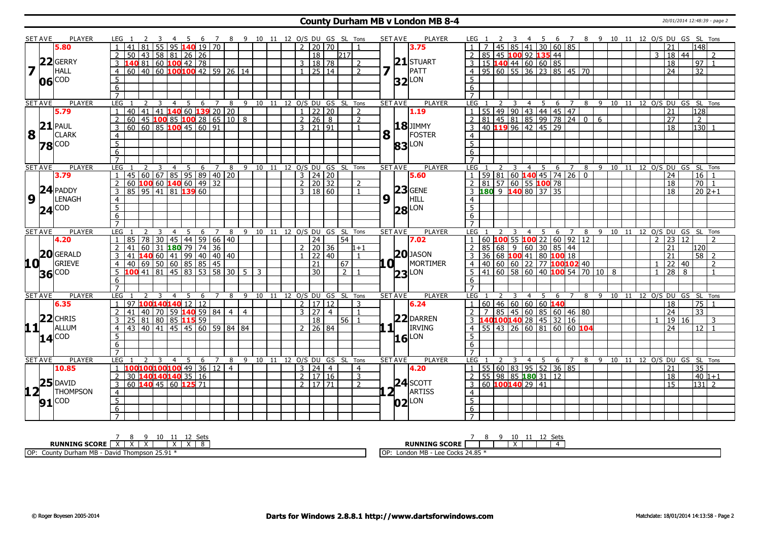#### **County Durham MB v London MB 8-4** 20/01/2014 12:48:39 - page 2

|                         | <b>SET AVE</b> | <b>PLAYER</b>                                   | LEG 1                                                | -3 |                | 4 5 6 7 8 9 10 11 12 O/S DU GS SL Tons |                |   |                                |                |                              |                      |                     |                 |                |                |                |     | SET AVE            | PLAYER              | LEG 1            |    |                 | $\overline{\mathbf{3}}$ |                |                                                      |   |                |           |  |                 |                |                     |    | 4 5 6 7 8 9 10 11 12 O/S DU GS SL Tons   |  |
|-------------------------|----------------|-------------------------------------------------|------------------------------------------------------|----|----------------|----------------------------------------|----------------|---|--------------------------------|----------------|------------------------------|----------------------|---------------------|-----------------|----------------|----------------|----------------|-----|--------------------|---------------------|------------------|----|-----------------|-------------------------|----------------|------------------------------------------------------|---|----------------|-----------|--|-----------------|----------------|---------------------|----|------------------------------------------|--|
|                         |                | 5.80                                            | 81                                                   |    |                | 55 95 140 19 70                        |                |   |                                |                |                              |                      | $2^{\circ}$         | 20   70         |                |                |                |     |                    | 3.75                |                  |    |                 |                         | 45   85   41   | 30   60   85                                         |   |                |           |  |                 |                | 21                  |    | 148 l                                    |  |
|                         |                |                                                 | 50                                                   |    |                | 43   58   81   26   26                 |                |   |                                |                |                              |                      |                     | $\overline{18}$ |                | 217            |                |     |                    |                     |                  |    |                 |                         |                | 2 85 45 100 92 135 44                                |   |                |           |  |                 | $\overline{3}$ | $18 \mid 44$        |    | 2                                        |  |
|                         |                | $22$ GERRY                                      | 3<br>140                                             |    |                | 81 60 <b>100</b> 42 78                 |                |   |                                |                |                              |                      | 3   18   78         |                 |                |                | $\overline{2}$ |     |                    | $21$ STUART         |                  |    |                 |                         |                | 3   15   140   44   60   60   85                     |   |                |           |  |                 |                | 18                  |    | 97 <br>$\overline{1}$                    |  |
| $\overline{\mathbf{z}}$ |                | <b>HALL</b>                                     | $60   40   60$ 100 100 42 59 26 14<br>$\overline{4}$ |    |                |                                        |                |   |                                |                |                              |                      | $1 \ 25 \ 14$       |                 |                |                | $\overline{2}$ | 7   | H.                 | PATT                |                  |    |                 |                         |                | 4 95 60 55 36 23 85 45 70                            |   |                |           |  |                 |                | $\overline{24}$     |    | 32                                       |  |
|                         |                | COD                                             | 5                                                    |    |                |                                        |                |   |                                |                |                              |                      |                     |                 |                |                |                |     |                    |                     | .5               |    |                 |                         |                |                                                      |   |                |           |  |                 |                |                     |    |                                          |  |
|                         | 06             |                                                 | $6\overline{}$                                       |    |                |                                        |                |   |                                |                |                              |                      |                     |                 |                |                |                |     |                    | $32$ LON            | 6                |    |                 |                         |                |                                                      |   |                |           |  |                 |                |                     |    |                                          |  |
|                         |                |                                                 | $\overline{7}$                                       |    |                |                                        |                |   |                                |                |                              |                      |                     |                 |                |                |                |     |                    |                     | $\overline{7}$   |    |                 |                         |                |                                                      |   |                |           |  |                 |                |                     |    |                                          |  |
|                         | <b>SET AVE</b> | <b>PLAYER</b>                                   | <b>LEG</b><br>$\overline{2}$                         | 3  | $\overline{4}$ | 5<br>6                                 | $\overline{7}$ | 8 |                                |                | 9 10 11 12 O/S DU GS SL Tons |                      |                     |                 |                |                |                |     | <b>SET AVE</b>     | <b>PLAYER</b>       | <b>LEG</b>       |    | 2               | $\overline{3}$          |                | 4 5 6 7                                              |   |                |           |  |                 |                |                     |    | 8 9 10 11 12 O/S DU GS SL Tons           |  |
|                         |                | 5.79                                            | 40<br>41<br>$\mathbf{1}$                             |    |                | 41   140   60   139   20   20          |                |   |                                |                |                              |                      | $\mathbf{1}$        | 22 20           |                |                | $\overline{2}$ |     |                    | 1.19                |                  |    |                 |                         |                | 55 49 90 43 44 45 47                                 |   |                |           |  |                 |                | 21                  |    | 128                                      |  |
|                         |                |                                                 | $\overline{2}$<br>60                                 |    |                | 45   100   85   100   28   65   10   8 |                |   |                                |                |                              |                      | 2   26   8          |                 |                |                | $\overline{2}$ |     |                    |                     | $\mathcal{P}$    |    |                 |                         |                | 81 45 81 85 99 78 24 0 6                             |   |                |           |  |                 |                | $\overline{27}$     |    | $\overline{2}$                           |  |
|                         |                | $21$ PAUL                                       | 3<br>60                                              |    |                |                                        |                |   |                                |                |                              |                      | $3 \mid 21 \mid 91$ |                 |                |                | $\overline{1}$ |     |                    | <b>18</b> JIMMY     | 3                |    |                 |                         |                | 40 119 96 42 45 29                                   |   |                |           |  |                 |                | 18                  |    | 130 1                                    |  |
| 8                       | $\pm 1$ .      | <b>CLARK</b>                                    | $\overline{4}$                                       |    |                |                                        |                |   |                                |                |                              |                      |                     |                 |                |                |                | 8   |                    | FOSTER              | $\overline{4}$   |    |                 |                         |                |                                                      |   |                |           |  |                 |                |                     |    |                                          |  |
|                         |                |                                                 | $\overline{5}$                                       |    |                |                                        |                |   |                                |                |                              |                      |                     |                 |                |                |                |     |                    |                     | $\overline{5}$   |    |                 |                         |                |                                                      |   |                |           |  |                 |                |                     |    |                                          |  |
|                         |                | $78$ COD                                        | 6                                                    |    |                |                                        |                |   |                                |                |                              |                      |                     |                 |                |                |                |     |                    | <b>83</b> LON       | 6                |    |                 |                         |                |                                                      |   |                |           |  |                 |                |                     |    |                                          |  |
|                         |                |                                                 | $\overline{7}$                                       |    |                |                                        |                |   |                                |                |                              |                      |                     |                 |                |                |                |     |                    |                     |                  |    |                 |                         |                |                                                      |   |                |           |  |                 |                |                     |    |                                          |  |
|                         | <b>SET AVE</b> | <b>PLAYER</b>                                   | LEG                                                  | 3  | $\overline{4}$ | $5\quad 6\quad 7\quad 8$               |                |   | 9 10 11 12 O/S DU GS SL Tons   |                |                              |                      |                     |                 |                |                |                |     | <b>SET AVE</b>     | <b>PLAYER</b>       | LEG              |    |                 |                         |                |                                                      |   |                |           |  |                 |                |                     |    | 3 4 5 6 7 8 9 10 11 12 O/S DU GS SL Tons |  |
|                         |                | 3.79                                            | 45 60 67 85 95 89 40 20                              |    |                |                                        |                |   |                                |                |                              |                      | $3 \mid 24 \mid 20$ |                 |                |                |                |     |                    | 5.60                |                  |    |                 |                         |                | $59 81 60$ 140 45 74 26 0                            |   |                |           |  |                 |                | $\overline{24}$     |    | $16$ 1                                   |  |
|                         |                |                                                 | 2<br>60                                              |    |                | 100601406014932                        |                |   |                                |                |                              |                      | $2 \ 20 \ 32$       |                 |                |                | 2              |     |                    |                     | $\overline{2}$   |    |                 |                         |                | $81$ 57 60 55 100 78                                 |   |                |           |  |                 |                | 18                  |    | $70$   1                                 |  |
|                         |                | $24$ PADDY                                      | 85 95 41 81 139 60<br>$\overline{3}$                 |    |                |                                        |                |   |                                |                |                              |                      | 3   18   60         |                 |                |                | $\overline{1}$ |     |                    | $23$ GENE           |                  |    |                 |                         |                | 3 180 9 140 80 37 35                                 |   |                |           |  |                 |                | 18                  |    | $20\overline{2+1}$                       |  |
| $\overline{9}$          |                | LENAGH                                          | $\overline{4}$                                       |    |                |                                        |                |   |                                |                |                              |                      |                     |                 |                |                |                | 9   | $\mathbf{1}$       | HILL                | $\overline{4}$   |    |                 |                         |                |                                                      |   |                |           |  |                 |                |                     |    |                                          |  |
|                         |                | $24$ COD                                        | $\overline{5}$                                       |    |                |                                        |                |   |                                |                |                              |                      |                     |                 |                |                |                |     |                    |                     | $5^{\circ}$      |    |                 |                         |                |                                                      |   |                |           |  |                 |                |                     |    |                                          |  |
|                         |                |                                                 | $\overline{6}$                                       |    |                |                                        |                |   |                                |                |                              |                      |                     |                 |                |                |                |     |                    | <b>28</b> LON       | 6                |    |                 |                         |                |                                                      |   |                |           |  |                 |                |                     |    |                                          |  |
|                         |                |                                                 | $\overline{7}$                                       |    |                |                                        |                |   |                                |                |                              |                      |                     |                 |                |                |                |     |                    |                     | $\overline{7}$   |    |                 |                         |                |                                                      |   |                |           |  |                 |                |                     |    |                                          |  |
|                         | <b>SET AVE</b> | <b>PLAYER</b>                                   | LEG                                                  | 3  | $\overline{4}$ | -5                                     | 6 7 8          |   |                                |                | 9 10 11 12 O/S DU GS SL Tons |                      |                     |                 |                |                |                |     | <b>SET AVE</b>     | <b>PLAYER</b>       | LEG 1            |    |                 |                         |                |                                                      |   |                |           |  |                 |                |                     |    | 4 5 6 7 8 9 10 11 12 O/S DU GS SL Tons   |  |
|                         |                | 4.20                                            | 85<br>$\overline{1}$                                 |    |                | 78   30   45   44   59   66   40       |                |   |                                |                |                              |                      |                     | 24              |                | 54             |                |     |                    | 7.02                |                  |    |                 |                         |                | 60 100 55 100 22 60 92 12                            |   |                |           |  |                 |                | $2 \mid 23 \mid 12$ |    | $\mathcal{D}$                            |  |
|                         |                |                                                 | 60<br>2<br>41                                        |    |                | $31$ 180 79 74 36                      |                |   |                                |                |                              |                      | $2$   20   36       |                 |                |                | $1 + 1$        |     |                    |                     |                  |    |                 |                         |                | $85\, \,68\, \,9\, \,60\, \,30\, \,85\, \,44$        |   |                |           |  |                 |                | 21                  |    | 120                                      |  |
|                         |                | 20 GERALD                                       | 3<br>41                                              |    |                | $14060$   41   99   40   40   40       |                |   |                                |                |                              |                      |                     | $1 \ 22 \ 40$   |                |                | $\mathbf{1}$   |     |                    | $20$ JASON          |                  |    |                 |                         |                | 36 68 100 41 80 100 18                               |   |                |           |  |                 |                | 21                  |    | $58$   2                                 |  |
| 10 L                    |                | <b>GRIEVE</b>                                   | $\overline{4}$<br>40                                 |    |                | 69 50 60 85 85 45                      |                |   |                                |                |                              |                      |                     | 21              |                | 67             |                | LOT |                    | MORTIMER            | 4                | 40 |                 |                         |                | 60   60   22   77 <b>100<mark>102</mark> 4</b> 0     |   |                |           |  |                 |                | 22                  | 40 | $\overline{2}$                           |  |
|                         | 36             | <b>COD</b>                                      | 100 41 81 45 83 53 58 30 5<br>5                      |    |                |                                        |                |   |                                | $\overline{3}$ |                              |                      |                     | 30              |                | $\overline{2}$ |                |     | 23 <sub>l</sub>    | LON                 | 5 <sup>2</sup>   |    |                 |                         |                | 41 60 58 60 40 100 54 70 10 8                        |   |                |           |  |                 | $\mathbf{1}$   | $\overline{28}$     | 8  | $\overline{1}$                           |  |
|                         |                |                                                 | $6 \overline{}$                                      |    |                |                                        |                |   |                                |                |                              |                      |                     |                 |                |                |                |     |                    |                     | $6 \overline{6}$ |    |                 |                         |                |                                                      |   |                |           |  |                 |                |                     |    |                                          |  |
|                         |                |                                                 | $\overline{7}$                                       |    |                |                                        |                |   |                                |                |                              |                      |                     |                 |                |                |                |     |                    |                     | $\overline{7}$   |    |                 |                         |                |                                                      |   |                |           |  |                 |                |                     |    |                                          |  |
|                         | <b>SET AVE</b> | <b>PLAYER</b>                                   | LEG                                                  | 3  | $\overline{4}$ | 5<br>6                                 |                | 8 | 9                              | 10 11          |                              | 12 O/S DU GS SL Tons |                     |                 |                |                |                |     | <b>SET AVE</b>     | <b>PLAYER</b>       | LEG              |    |                 |                         | 4              | - 5                                                  | 6 | $\overline{7}$ | 8 9 10 11 |  | 12 O/S DU GS SL |                |                     |    | Tons                                     |  |
|                         |                | 6.35                                            | 97<br>$\mathbf{1}$                                   |    |                | $100140140$ 12   12                    |                |   |                                |                |                              |                      | 2   17   12         |                 |                |                | 3              |     |                    | 6.24                |                  |    |                 |                         |                | 1   60   46   60   60   60   140                     |   |                |           |  |                 |                | 18                  |    | 75                                       |  |
|                         |                |                                                 | $\overline{2}$<br>41                                 |    |                | 40 70 59 140 59 84 4                   |                |   | $\overline{4}$                 |                |                              |                      | $3 \mid 27$         |                 | $\overline{4}$ |                | $\overline{1}$ |     |                    |                     | 2                |    |                 |                         |                | $85 \mid 45 \mid 60 \mid 85 \mid 60 \mid 46 \mid 80$ |   |                |           |  |                 |                | $\overline{24}$     |    | $\overline{33}$                          |  |
|                         |                | $22$ CHRIS                                      | 25<br>3                                              |    |                | 81 80 85 115 59                        |                |   |                                |                |                              |                      |                     | 18              |                | $56$   1       |                |     |                    | 22 DARREN           | 3 <sup>1</sup>   |    |                 |                         |                | 40100140 28 45 32 16                                 |   |                |           |  |                 |                | 19                  | 16 | 3                                        |  |
|                         |                | $11$ <sup><math>\overline{1}</math></sup> ALLUM | 43 40 41 45 45 60 59 84 84<br>$\overline{4}$         |    |                |                                        |                |   |                                |                |                              |                      | 2 26 84             |                 |                |                |                |     | 111                | <b>IRVING</b>       |                  |    |                 |                         |                | $4   55   43   26   60   81   60   60   104$         |   |                |           |  |                 |                | 24                  |    | $12$   1                                 |  |
|                         |                | $14^{\text{COD}}$                               | 5                                                    |    |                |                                        |                |   |                                |                |                              |                      |                     |                 |                |                |                |     | 16                 | LON                 | 5 <sup>1</sup>   |    |                 |                         |                |                                                      |   |                |           |  |                 |                |                     |    |                                          |  |
|                         |                |                                                 | $\overline{6}$                                       |    |                |                                        |                |   |                                |                |                              |                      |                     |                 |                |                |                |     |                    |                     | 6                |    |                 |                         |                |                                                      |   |                |           |  |                 |                |                     |    |                                          |  |
|                         |                |                                                 | $\overline{7}$                                       |    |                |                                        |                |   |                                |                |                              |                      |                     |                 |                |                |                |     |                    |                     | $\overline{7}$   |    |                 |                         |                |                                                      |   |                |           |  |                 |                |                     |    |                                          |  |
|                         | <b>SET AVE</b> | <b>PLAYER</b>                                   | <b>LEG</b>                                           | 3  | $\overline{4}$ | 5                                      | 6 7            |   | 8 9 10 11 12 0/S DU GS SL Tons |                |                              |                      |                     |                 |                |                |                |     | <b>SET AVE</b>     | <b>PLAYER</b>       | LEG <sub>1</sub> |    |                 | 3                       | $\overline{4}$ | 5                                                    |   |                |           |  |                 |                |                     |    | 6 7 8 9 10 11 12 O/S DU GS SL Tons       |  |
|                         |                | 10.85                                           | $1 \overline{100}100100100$ 49 36 12 4               |    |                |                                        |                |   |                                |                |                              |                      | 3 24 4              |                 |                |                | $\overline{4}$ |     |                    | 4.20                |                  |    |                 |                         |                | 1 55 60 83 95 52 36 85                               |   |                |           |  |                 |                | 21                  |    | 35                                       |  |
|                         |                |                                                 | 30 140140140 35 16<br>$\overline{2}$                 |    |                |                                        |                |   |                                |                |                              |                      | $2 \mid 17 \mid 16$ |                 |                |                | 3              |     |                    |                     | 2 <sup>1</sup>   |    |                 |                         |                | 55 98 85 180 31 12                                   |   |                |           |  |                 |                | 18                  |    | $40 1+1$                                 |  |
|                         | 25             | <b>DAVID</b>                                    | 60 140 45 60 125 71<br>3                             |    |                |                                        |                |   |                                |                |                              |                      | 2  17 71            |                 |                |                | $\overline{2}$ |     |                    | $24$ SCOTT          | 3                |    | 60 100140 29 41 |                         |                |                                                      |   |                |           |  |                 |                | 15                  |    | $\overline{131}$ 2                       |  |
|                         | $12^+$         | <b>THOMPSON</b>                                 | 4                                                    |    |                |                                        |                |   |                                |                |                              |                      |                     |                 |                |                |                |     | $2^{\overline{1}}$ | ARTISS              | $\overline{4}$   |    |                 |                         |                |                                                      |   |                |           |  |                 |                |                     |    |                                          |  |
|                         |                | $91^{ COD }$                                    | $\overline{5}$                                       |    |                |                                        |                |   |                                |                |                              |                      |                     |                 |                |                |                |     |                    | $02$ <sup>LON</sup> | $\overline{5}$   |    |                 |                         |                |                                                      |   |                |           |  |                 |                |                     |    |                                          |  |
|                         |                |                                                 | $6\overline{6}$                                      |    |                |                                        |                |   |                                |                |                              |                      |                     |                 |                |                |                |     |                    |                     | 6                |    |                 |                         |                |                                                      |   |                |           |  |                 |                |                     |    |                                          |  |
|                         |                |                                                 | $\overline{7}$                                       |    |                |                                        |                |   |                                |                |                              |                      |                     |                 |                |                |                |     |                    |                     | $\overline{7}$   |    |                 |                         |                |                                                      |   |                |           |  |                 |                |                     |    |                                          |  |
|                         |                |                                                 |                                                      |    |                |                                        |                |   |                                |                |                              |                      |                     |                 |                |                |                |     |                    |                     |                  |    |                 |                         |                |                                                      |   |                |           |  |                 |                |                     |    |                                          |  |

|                                                                                                                | ים -                                                                                     |
|----------------------------------------------------------------------------------------------------------------|------------------------------------------------------------------------------------------|
| <b>RUNNING SCORE</b><br>$\lambda$<br>$\lambda$                                                                 | <b>RUNNING SCORE</b>                                                                     |
| .<br>OP.<br>$\n  \  \, \sim$ 4.01 $\n  \, \sim$<br><u>ть</u><br>ിurham MB<br>David<br>1 hompson 25.91<br>Count | 14.8 <sup>F</sup><br>MB<br>1 OP<br>. - Lee C<br>Cocks<br>Londo <sup>,</sup><br>'۰ د ⊤۰ ت |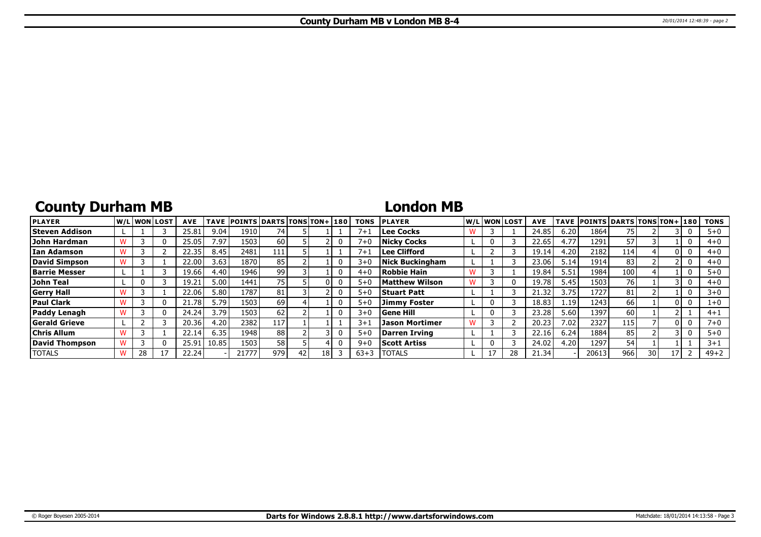# **County Durham MB**

## **London MB**

| <b>PLAYER</b>         |    | lw/Llwonllost | <b>AVE</b> | <b>TAVE</b> | <b>POINTS DARTS TONS TON+180</b> |                 |    |    | <b>TONS</b> | <b>PLAYER</b>          |  | W/Liwonilost | <b>AVE</b> |      | TAVE POINTS DARTS TONS TON+ 180 |      |    |     | <b>TONS</b> |
|-----------------------|----|---------------|------------|-------------|----------------------------------|-----------------|----|----|-------------|------------------------|--|--------------|------------|------|---------------------------------|------|----|-----|-------------|
| <b>Steven Addison</b> |    |               | 25.81      | 9.04        | 1910                             | 74              |    |    | $7 + 1$     | Lee Cocks              |  |              | 24.85      | 6.20 | 1864                            | 75 I |    |     | $5 + 0$     |
| John Hardman          |    | $^{(1)}$      | 25.05      | 7.97        | 1503                             | 60              |    |    | $7 + 1$     | Nicky Cocks            |  |              | 22.65      | 4.77 | 1291                            | 57   |    |     | $4 + 0$     |
| lIan Adamson          |    |               | 22.35      | 8.45        | 2481                             | 111             |    |    | $7 + i$     | Lee Clifford           |  |              | 19.14      | 4.20 | 2182                            | 114  |    |     | $4 + 0$     |
| David Simpson         |    |               | 22.00      | 3.63        | 1870                             | 85              |    |    | $3 + C$     | <b>Nick Buckingham</b> |  |              | 23.06      | 5.14 | 1914                            | 83   |    |     | $4 + 0$     |
| <b>Barrie Messer</b>  |    |               | 19.66      | 4.40        | 1946 l                           | 99              |    |    | $4 + C$     | Robbie Hain            |  |              | 19.84      | 5.51 | 1984                            | 100  |    |     | $5+0$       |
| John Teal             |    |               | 19.21      | 5.00        | 1441                             | 75 <sub>1</sub> |    |    | $5 + C$     | <b>Matthew Wilson</b>  |  |              | 19.78      | 5.45 | 1503                            | 76   |    |     | $4 + 0$     |
| <b>Gerry Hall</b>     |    |               | 22.06      | 5.80        | 1787                             | 81              |    |    | $5 + 0$     | <b>Stuart Patt</b>     |  |              | 21.32      | 3.75 | 1727                            | 81   |    |     | $3+0$       |
| <b>Paul Clark</b>     |    | 0             | 21.78      | 5.79        | 1503                             | 69              |    |    | $5 + 0$     | Jimmy Foster           |  |              | 18.83      | 1.19 | 1243                            | 66   |    | 0 I | $1+0$       |
| Paddy Lenagh          |    | 0             | 24.24      | 3.79        | 1503                             | 62              |    |    | $3 + C$     | <b>Gene Hill</b>       |  |              | 23.28      | 5.60 | 1397                            | 60   |    |     | $4 + 1$     |
| <b>Gerald Grieve</b>  |    |               | 20.36      | 4.20        | 2382                             | 117             |    |    | $3+1$       | Jason Mortimer         |  |              | 20.23      | 7.02 | 2327                            | 115  |    | 0 I | 7+0         |
| <b>Chris Allum</b>    |    |               | 22.14      | 6.35        | 1948                             | 88              |    |    | $5 + 0$     | Darren Irving          |  |              | 22.16      | 6.24 | 1884                            | 85   |    |     | $5 + 0$     |
| David Thompson        |    | 0             | 25.91      | 10.85       | 1503                             | 58              |    |    | $9 + C$     | <b>Scott Artiss</b>    |  |              | 24.02      | 4.20 | 1297                            | 54   |    |     | $3 + 1$     |
| <b>TOTALS</b>         | 28 |               | 22.24      |             | 21777                            | 979             | 42 | 18 | $63 + 3$    | <b>TOTALS</b>          |  |              | 21.34      |      | 20613                           | 966  | 30 |     | $49 + 2$    |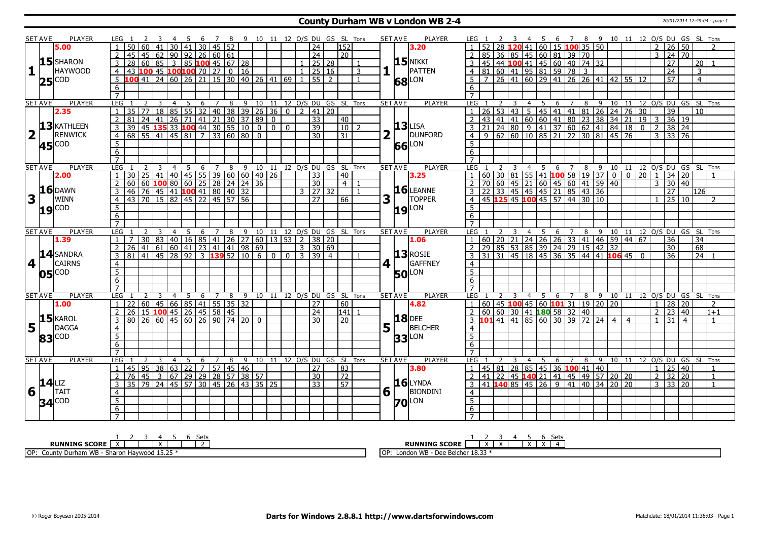#### **County Durham WB v London WB 2-4** 20/01/2014 12:49:04 - page 1

|                         | SET AVE        | PLAYER                                                                     | LEG 1                             |                                              |                 |                 |                | - 5                          |                 |                      |       | 6 7 8 9 10 11 12 O/S DU GS SL Tons                                           |                            |              |              |                       |                |                 |                              | SET AVE        |                 | PLAYER                | LEG 1                             |    |   |   |   |     |                                                                                                                 |                |     |   |                                                                                                    |                |                                | 4 5 6 7 8 9 10 11 12 O/S DU GS SL Tons                                                                                                       |                 |                 |                |
|-------------------------|----------------|----------------------------------------------------------------------------|-----------------------------------|----------------------------------------------|-----------------|-----------------|----------------|------------------------------|-----------------|----------------------|-------|------------------------------------------------------------------------------|----------------------------|--------------|--------------|-----------------------|----------------|-----------------|------------------------------|----------------|-----------------|-----------------------|-----------------------------------|----|---|---|---|-----|-----------------------------------------------------------------------------------------------------------------|----------------|-----|---|----------------------------------------------------------------------------------------------------|----------------|--------------------------------|----------------------------------------------------------------------------------------------------------------------------------------------|-----------------|-----------------|----------------|
|                         |                | 5.00                                                                       |                                   | 50                                           |                 |                 | 30             | 41                           | 30 <sup>1</sup> |                      | 45 52 |                                                                              |                            |              |              | $\overline{24}$       |                | 152             |                              |                |                 | 3.20                  |                                   |    |   |   |   |     | 41 60 15 100 35 50                                                                                              |                |     |   |                                                                                                    |                | 2                              | $26 \overline{50}$                                                                                                                           |                 |                 |                |
|                         |                |                                                                            |                                   | 45                                           | 45              | 62              |                |                              |                 | $90$ 92 26 60 61     |       |                                                                              |                            |              |              | 24                    |                | 20              |                              |                |                 |                       |                                   | 85 |   |   |   |     | 36 85 45 60 81 39 70                                                                                            |                |     |   |                                                                                                    |                | 3                              | $\overline{24}$                                                                                                                              | $\overline{70}$ |                 |                |
|                         |                | $15$ SHARON                                                                | 3                                 | 28                                           | 60              | l 85            |                |                              |                 |                      |       | 3   85 <mark>100</mark> 45   67   28                                         |                            |              |              |                       | 25 28          |                 |                              |                |                 | $15$ NIKKI            |                                   |    |   |   |   |     | $ 45 44$ <b>100</b> 41 45 60 40 74 32                                                                           |                |     |   |                                                                                                    |                |                                | 27                                                                                                                                           |                 | 20              |                |
| $\mathbf{1}$            |                | <b>HAYWOOD</b>                                                             | $\overline{4}$                    | 43                                           |                 |                 |                |                              |                 |                      |       | $100$ 45 $100$ 100 70 27 0 16                                                |                            |              |              | 25 16                 |                |                 | 3                            |                |                 | PATTEN                |                                   |    |   |   |   |     | 4 81 60 41 95 81 59 78 3                                                                                        |                |     |   |                                                                                                    |                |                                | $\overline{24}$                                                                                                                              |                 | $\overline{3}$  |                |
|                         |                | COD                                                                        | 5                                 | 100                                          | $\overline{41}$ |                 |                |                              |                 |                      |       | 24 60 26 21 15 30 40 26 41 69                                                |                            |              | $\mathbf{1}$ | 55                    | $\overline{2}$ |                 |                              |                |                 | LON                   |                                   |    |   |   |   |     |                                                                                                                 |                |     |   | $5 \mid 7 \mid 26 \mid 41 \mid 60 \mid 29 \mid 41 \mid 26 \mid 26 \mid 41 \mid 42 \mid 55 \mid 12$ |                |                                | $\overline{57}$                                                                                                                              |                 | $\overline{4}$  |                |
|                         | 25             |                                                                            | 6                                 |                                              |                 |                 |                |                              |                 |                      |       |                                                                              |                            |              |              |                       |                |                 |                              |                | 68              |                       | 6                                 |    |   |   |   |     |                                                                                                                 |                |     |   |                                                                                                    |                |                                |                                                                                                                                              |                 |                 |                |
|                         |                |                                                                            | $\overline{7}$                    |                                              |                 |                 |                |                              |                 |                      |       |                                                                              |                            |              |              |                       |                |                 |                              |                |                 |                       | $\overline{7}$                    |    |   |   |   |     |                                                                                                                 |                |     |   |                                                                                                    |                |                                |                                                                                                                                              |                 |                 |                |
|                         | <b>SET AVE</b> | <b>PLAYER</b>                                                              | LEG                               |                                              | 2               | 3               | $\overline{4}$ | -5                           | 6               | 7                    | 8     |                                                                              |                            |              |              |                       |                |                 | 9 10 11 12 O/S DU GS SL Tons | <b>SET AVE</b> |                 | <b>PLAYER</b>         | LEG                               |    | 2 | 3 | 4 | 5   | 6                                                                                                               | 7              | 8 9 |   | 10                                                                                                 |                |                                | 11 12 0/S DU GS SL Tons                                                                                                                      |                 |                 |                |
|                         |                | 2.35                                                                       | $\mathbf{1}$                      | $\overline{35}$                              | 77              | $\overline{18}$ | $\sqrt{85}$    |                              |                 |                      |       | $\frac{1}{55}$ 32 40 38 39 26 36 0 2 41 20                                   |                            |              |              |                       |                |                 |                              |                |                 |                       |                                   |    |   |   |   |     |                                                                                                                 |                |     |   | 1 26 53 43 5 45 41 41 81 26 24 76 30                                                               |                |                                | $\overline{39}$                                                                                                                              |                 | $\overline{10}$ |                |
|                         |                |                                                                            | $\overline{2}$                    | 81                                           | 24              | 41              |                |                              |                 |                      |       | 26 71 41 21 30 37 89                                                         | $\Omega$                   |              |              | $\overline{33}$       |                | 40              |                              |                |                 |                       | $\overline{2}$                    |    |   |   |   |     |                                                                                                                 |                |     |   | 43 41 41 60 60 41 80 23 38 34 21 19 3                                                              |                |                                | 36 19                                                                                                                                        |                 |                 |                |
|                         |                | $13$ KATHLEEN                                                              | $\overline{3}$                    | $\overline{39}$                              |                 |                 |                |                              |                 |                      |       | 45 135 33 100 44 30 55 10 0 0                                                |                            | $\mathbf{0}$ |              | $\overline{39}$       |                | $10$   2        |                              |                |                 | $13$ LISA             |                                   |    |   |   |   |     |                                                                                                                 |                |     |   |                                                                                                    |                |                                | $38 \mid 24$                                                                                                                                 |                 |                 |                |
| $\overline{\mathbf{2}}$ |                | <b>RENWICK</b>                                                             | $\overline{4}$                    | 68 55 41 45 81 7 33 60 80 0                  |                 |                 |                |                              |                 |                      |       |                                                                              |                            |              |              | $\overline{30}$       |                | $\overline{31}$ |                              | 2              |                 | DUNFORD               |                                   |    |   |   |   |     |                                                                                                                 |                |     |   |                                                                                                    |                |                                | $3 \mid 33 \mid 76$                                                                                                                          |                 |                 |                |
|                         |                | COD                                                                        | $\overline{5}$                    |                                              |                 |                 |                |                              |                 |                      |       |                                                                              |                            |              |              |                       |                |                 |                              |                |                 | LON                   | 5 <sup>1</sup>                    |    |   |   |   |     |                                                                                                                 |                |     |   |                                                                                                    |                |                                |                                                                                                                                              |                 |                 |                |
|                         | 45             |                                                                            | $\overline{6}$                    |                                              |                 |                 |                |                              |                 |                      |       |                                                                              |                            |              |              |                       |                |                 |                              |                | 66              |                       | 6                                 |    |   |   |   |     |                                                                                                                 |                |     |   |                                                                                                    |                |                                |                                                                                                                                              |                 |                 |                |
|                         |                |                                                                            | $\overline{7}$                    |                                              |                 |                 |                |                              |                 |                      |       |                                                                              |                            |              |              |                       |                |                 |                              |                |                 |                       |                                   |    |   |   |   |     |                                                                                                                 |                |     |   |                                                                                                    |                |                                |                                                                                                                                              |                 |                 |                |
|                         | <b>SET AVE</b> | <b>PLAYER</b>                                                              | LEG                               |                                              |                 | 3               | $\overline{4}$ | 5                            |                 |                      |       | 6 7 8 9 10 11 12 0/S DU GS SL Tons                                           |                            |              |              |                       |                |                 |                              | <b>SET AVE</b> |                 | <b>PLAYER</b>         | LEG <sub>1</sub>                  |    |   |   |   |     |                                                                                                                 |                |     |   |                                                                                                    |                |                                |                                                                                                                                              |                 |                 |                |
|                         |                | 2.00                                                                       |                                   | 30                                           | 25              | 41              |                |                              |                 |                      |       | $140$ $ 45$ 55 39 60 60 40 26                                                |                            |              |              | $\overline{33}$       |                | 40              |                              |                |                 | 3.25                  | $\mathbf{1}$                      |    |   |   |   |     |                                                                                                                 |                |     |   |                                                                                                    |                |                                | 1 2 3 4 5 6 7 8 9 10 11 12 0/5 DU GS SL TOns<br> 60   30   81   55   41   <mark>100</mark> 58   19   37   0   0   20   1   34   20         1 |                 |                 |                |
|                         |                |                                                                            | $\overline{2}$                    | 60                                           | 60              |                 |                | 100806025                    |                 | $\sqrt{28}$          |       | $24$ 24 36                                                                   |                            |              |              | 30                    |                | $\overline{4}$  |                              |                |                 |                       |                                   |    |   |   |   |     |                                                                                                                 |                |     |   |                                                                                                    |                | 3                              | 30 40                                                                                                                                        |                 |                 |                |
|                         |                | <b>16</b> DAWN                                                             | 3                                 | 46                                           |                 |                 |                |                              |                 |                      |       | 76 45 41 100 41 80 40 32                                                     |                            |              |              | $3 \mid 27 \mid 32$   |                |                 |                              |                |                 | $16$ LEANNE           |                                   |    |   |   |   |     | 2 70 60 45 21 60 45 60 41 59 40<br>3 22 33 45 45 45 21 85 43 36<br>4 45 <b>125</b> 45 <b>100</b> 45 57 44 30 10 |                |     |   |                                                                                                    |                |                                | $\overline{27}$                                                                                                                              |                 | l126 l          |                |
| $\overline{\mathbf{3}}$ |                | <b>WINN</b>                                                                | $\overline{4}$                    | 43                                           |                 |                 |                |                              |                 |                      |       | 70 15 82 45 22 45 57 56                                                      |                            |              |              | $\overline{27}$       |                | 66              |                              | 3              |                 | <b>TOPPER</b>         |                                   |    |   |   |   |     |                                                                                                                 |                |     |   |                                                                                                    |                |                                | 25 10                                                                                                                                        |                 |                 | $\mathcal{P}$  |
|                         |                |                                                                            |                                   |                                              |                 |                 |                |                              |                 |                      |       |                                                                              |                            |              |              |                       |                |                 |                              |                |                 |                       | $5^{\circ}$                       |    |   |   |   |     |                                                                                                                 |                |     |   |                                                                                                    |                |                                |                                                                                                                                              |                 |                 |                |
|                         | 19             | <b>COD</b>                                                                 | $\overline{5}$                    |                                              |                 |                 |                |                              |                 |                      |       |                                                                              |                            |              |              |                       |                |                 |                              |                |                 | <b>19</b> LON         |                                   |    |   |   |   |     |                                                                                                                 |                |     |   |                                                                                                    |                |                                |                                                                                                                                              |                 |                 |                |
|                         |                |                                                                            | 6<br>$\overline{7}$               |                                              |                 |                 |                |                              |                 |                      |       |                                                                              |                            |              |              |                       |                |                 |                              |                |                 |                       | $6\overline{6}$<br>$\overline{7}$ |    |   |   |   |     |                                                                                                                 |                |     |   |                                                                                                    |                |                                |                                                                                                                                              |                 |                 |                |
|                         |                |                                                                            |                                   |                                              |                 | 3               |                |                              |                 |                      |       |                                                                              |                            |              |              |                       |                |                 |                              |                |                 |                       |                                   |    |   |   |   |     |                                                                                                                 |                |     |   |                                                                                                    |                |                                |                                                                                                                                              |                 |                 |                |
|                         | <b>SET AVE</b> | <b>PLAYER</b><br>1.39                                                      | LEG<br>$\overline{1}$             | $\overline{7}$                               |                 |                 | $\overline{4}$ | 5                            | 6               |                      |       | 7 8 9 10 11 12 0/S DU GS SL Tons<br>30 83 40 16 85 41 26 27 60 13 53 2 38 20 |                            |              |              |                       |                |                 |                              |                | <b>SET AVE</b>  | <b>PLAYER</b><br>1.06 | LEG                               |    |   |   |   |     |                                                                                                                 |                |     |   | 1 60 20 21 24 26 26 33 41 46 59 44 67                                                              |                |                                | 4 5 6 7 8 9 10 11 12 0/S DU GS<br>36                                                                                                         |                 | SL Tons<br>34   |                |
|                         |                |                                                                            |                                   | $\overline{26}$                              | 41              |                 |                |                              |                 |                      |       | $\frac{61}{61}$ 60 41 23 41 41 98 69                                         |                            |              |              | $3 \mid 30 \mid 69$   |                |                 |                              |                |                 |                       |                                   |    |   |   |   |     | 2 29 85 53 85 39 24 29 15 42 32                                                                                 |                |     |   |                                                                                                    |                |                                | 30                                                                                                                                           |                 | 68              |                |
|                         |                | 14 SANDRA                                                                  | $\overline{2}$<br>3               | $81   41   45   28   92   3$ 139 52 10 6 0 0 |                 |                 |                |                              |                 |                      |       |                                                                              |                            |              |              | $3 \mid 39 \mid 4$    |                |                 |                              |                |                 | $13$ ROSIE            |                                   |    |   |   |   |     |                                                                                                                 |                |     |   | $3$ 31 31 45 18 45 36 35 44 41 106 45 0                                                            |                |                                | 36                                                                                                                                           |                 | $24 \mid 1$     |                |
| 4                       |                | <b>CAIRNS</b>                                                              |                                   |                                              |                 |                 |                |                              |                 |                      |       |                                                                              |                            |              |              |                       |                |                 |                              |                |                 | GAFFNEY               |                                   |    |   |   |   |     |                                                                                                                 |                |     |   |                                                                                                    |                |                                |                                                                                                                                              |                 |                 |                |
|                         |                |                                                                            | $\overline{4}$<br>$\overline{5}$  |                                              |                 |                 |                |                              |                 |                      |       |                                                                              |                            |              |              |                       |                |                 |                              | 4              |                 |                       | $\overline{4}$<br>$\overline{5}$  |    |   |   |   |     |                                                                                                                 |                |     |   |                                                                                                    |                |                                |                                                                                                                                              |                 |                 |                |
|                         | 05             | <b>COD</b>                                                                 |                                   |                                              |                 |                 |                |                              |                 |                      |       |                                                                              |                            |              |              |                       |                |                 |                              |                |                 | <b>50</b> LON         |                                   |    |   |   |   |     |                                                                                                                 |                |     |   |                                                                                                    |                |                                |                                                                                                                                              |                 |                 |                |
|                         |                |                                                                            | $6\overline{6}$<br>$\overline{7}$ |                                              |                 |                 |                |                              |                 |                      |       |                                                                              |                            |              |              |                       |                |                 |                              |                |                 |                       | $6\overline{6}$                   |    |   |   |   |     |                                                                                                                 |                |     |   |                                                                                                    |                |                                |                                                                                                                                              |                 |                 |                |
|                         |                |                                                                            |                                   |                                              |                 |                 |                |                              |                 |                      |       |                                                                              |                            |              |              |                       |                |                 |                              |                |                 |                       |                                   |    |   |   |   |     |                                                                                                                 |                |     |   |                                                                                                    |                |                                |                                                                                                                                              |                 |                 |                |
|                         | <b>SET AVE</b> | <b>PLAYER</b>                                                              | LEG                               |                                              |                 |                 | $\overline{4}$ | 5                            |                 |                      |       | 6 7 8 9 10 11 12 0/S DU GS SL Tons                                           |                            |              |              |                       |                |                 |                              |                | <b>SET AVE</b>  | <b>PLAYER</b>         | LEG                               |    |   |   |   | 4 5 |                                                                                                                 |                |     |   |                                                                                                    |                |                                | 6 7 8 9 10 11 12 O/S DU GS SL Tons                                                                                                           |                 |                 |                |
|                         |                | 1.00                                                                       | -1                                | 22 60 45 66 85 41 55 35 32<br>26             | $\overline{15}$ |                 |                |                              |                 | $100$ 45 26 45 58 45 |       |                                                                              |                            |              |              | 27                    |                | 60<br>141       |                              |                |                 | 4.82                  | <sup>2</sup>                      |    |   |   |   |     | $1   60   45   100   45   60   101   31   19   20   20$<br>60 60 30 41 <b>180</b> 58 32 40                      |                |     |   |                                                                                                    |                | $\mathbf{1}$<br>$\overline{2}$ | 28 20<br>23                                                                                                                                  | 40              |                 | 2<br>$1 + 1$   |
|                         |                | $15$ <b>KAROL</b>                                                          | $\overline{2}$                    |                                              |                 |                 |                |                              |                 |                      |       |                                                                              |                            |              |              | 24<br>$\overline{30}$ |                | $\overline{20}$ |                              |                |                 | <b>18</b> DEE         |                                   |    |   |   |   |     | $3 \quad 101 \quad 41 \quad 41 \quad 85 \quad 60 \quad 30 \quad 39 \quad 72 \quad 24 \quad 4$                   |                |     |   |                                                                                                    |                |                                |                                                                                                                                              |                 |                 |                |
|                         |                | <b>DAGGA</b>                                                               | 3                                 | 80                                           |                 |                 |                |                              |                 |                      |       | $\sqrt{26}$ 60 45 60 26 90 74 20 0                                           |                            |              |              |                       |                |                 |                              |                |                 | <b>BELCHER</b>        |                                   |    |   |   |   |     |                                                                                                                 |                |     |   |                                                                                                    | $\overline{4}$ | $\overline{1}$                 | 31                                                                                                                                           | $\overline{4}$  |                 | $\mathbf{1}$   |
| 5                       |                |                                                                            | $\overline{4}$                    |                                              |                 |                 |                |                              |                 |                      |       |                                                                              |                            |              |              |                       |                |                 |                              | 5              |                 |                       | $\overline{4}$                    |    |   |   |   |     |                                                                                                                 |                |     |   |                                                                                                    |                |                                |                                                                                                                                              |                 |                 |                |
|                         | 83             | COD                                                                        | $\overline{5}$                    |                                              |                 |                 |                |                              |                 |                      |       |                                                                              |                            |              |              |                       |                |                 |                              |                | 33 <sub>l</sub> | LON                   | $\overline{5}$                    |    |   |   |   |     |                                                                                                                 |                |     |   |                                                                                                    |                |                                |                                                                                                                                              |                 |                 |                |
|                         |                |                                                                            | $\overline{6}$                    |                                              |                 |                 |                |                              |                 |                      |       |                                                                              |                            |              |              |                       |                |                 |                              |                |                 |                       | 6                                 |    |   |   |   |     |                                                                                                                 |                |     |   |                                                                                                    |                |                                |                                                                                                                                              |                 |                 |                |
|                         |                |                                                                            | $\overline{7}$                    |                                              |                 |                 |                |                              |                 |                      |       |                                                                              |                            |              |              |                       |                |                 |                              |                |                 |                       | $\overline{7}$                    |    |   |   |   |     |                                                                                                                 |                |     |   |                                                                                                    |                |                                |                                                                                                                                              |                 |                 |                |
|                         | <b>SET AVE</b> | PLAYER                                                                     | LEG                               |                                              |                 | 3               | $\overline{4}$ | 5                            | 6               | 7                    | 8     | 9                                                                            | 10 11 12 O/S DU GS SL Tons |              |              |                       |                |                 |                              |                | <b>SET AVE</b>  | <b>PLAYER</b>         | LEG                               |    |   |   | 4 | 5   | 6                                                                                                               | $\overline{7}$ | 8   | 9 |                                                                                                    |                |                                | 10 11 12 O/S DU GS SL Tons                                                                                                                   |                 |                 |                |
|                         |                |                                                                            | $\mathbf{1}$                      | 45                                           |                 |                 |                | $95 \mid 38 \mid 63 \mid 22$ | $\overline{7}$  |                      |       | 57   45   46                                                                 |                            |              |              | 27                    |                | $\overline{83}$ |                              |                |                 | 3.80                  |                                   |    |   |   |   |     | $1   45   81   28   85   45   36   100   41   40$                                                               |                |     |   |                                                                                                    |                | $\mathbf{1}$                   | 25 40                                                                                                                                        |                 |                 | $\overline{1}$ |
|                         |                |                                                                            | $\overline{2}$                    | $\overline{76}$                              |                 |                 |                |                              |                 |                      |       | 45 3 67 29 29 28 57 38 57                                                    |                            |              |              | $\overline{30}$       |                | $\overline{72}$ |                              |                |                 | $16$ LYNDA            |                                   |    |   |   |   |     |                                                                                                                 |                |     |   | 2 41 22 45 140 21 41 45 49 57 20 20                                                                |                | 2                              | 32                                                                                                                                           | 20              |                 | $\mathbf{1}$   |
|                         | $14$ LIZ       |                                                                            | $\overline{3}$                    | $\overline{35}$                              |                 |                 |                |                              |                 |                      |       | 79 24 45 57 30 45 26 43 35 25                                                |                            |              |              | $\overline{33}$       |                | 57              |                              |                |                 |                       |                                   |    |   |   |   |     |                                                                                                                 |                |     |   | $3   41$ <b>140</b> 85 45 26 9 41 40 34 20 20                                                      |                |                                | $3 \overline{)33} \overline{)20}$                                                                                                            |                 |                 | $\overline{1}$ |
|                         |                | $\overline{6}$ $\overline{1}$ $\overline{1}$ $\overline{1}$ $\overline{1}$ | $\overline{4}$                    |                                              |                 |                 |                |                              |                 |                      |       |                                                                              |                            |              |              |                       |                |                 |                              |                | $6\sqrt{ }$     | BIONDINI              | $\overline{4}$                    |    |   |   |   |     |                                                                                                                 |                |     |   |                                                                                                    |                |                                |                                                                                                                                              |                 |                 |                |
|                         |                | $34^{\text{COD}}$                                                          | $\overline{5}$                    |                                              |                 |                 |                |                              |                 |                      |       |                                                                              |                            |              |              |                       |                |                 |                              |                |                 | <b>70</b> LON         | $\overline{5}$                    |    |   |   |   |     |                                                                                                                 |                |     |   |                                                                                                    |                |                                |                                                                                                                                              |                 |                 |                |
|                         |                |                                                                            | $\overline{6}$                    |                                              |                 |                 |                |                              |                 |                      |       |                                                                              |                            |              |              |                       |                |                 |                              |                |                 |                       | $6\overline{6}$                   |    |   |   |   |     |                                                                                                                 |                |     |   |                                                                                                    |                |                                |                                                                                                                                              |                 |                 |                |
|                         |                |                                                                            | $\overline{7}$                    |                                              |                 |                 |                |                              |                 |                      |       |                                                                              |                            |              |              |                       |                |                 |                              |                |                 |                       |                                   |    |   |   |   |     |                                                                                                                 |                |     |   |                                                                                                    |                |                                |                                                                                                                                              |                 |                 |                |

| نايات                                                                                   | ັບເ                                                                                                 |
|-----------------------------------------------------------------------------------------|-----------------------------------------------------------------------------------------------------|
| <b>RUNNING SCORE</b>                                                                    | <b>RUNNING SCORE</b><br>$\ddot{\phantom{1}}$<br>$\lambda$<br>$\overline{\phantom{a}}$               |
| OP:<br>$\sim$ $\sim$ $\sim$ $\sim$<br>am WB<br>Durha<br>County<br>haron<br>Havwood<br>. | $\sim$ $\sim$ $\sim$ $\sim$<br>IOP<br><b>MR</b><br>-18.3.<br>Londor<br><b>VVL</b><br><b>DUAL BU</b> |